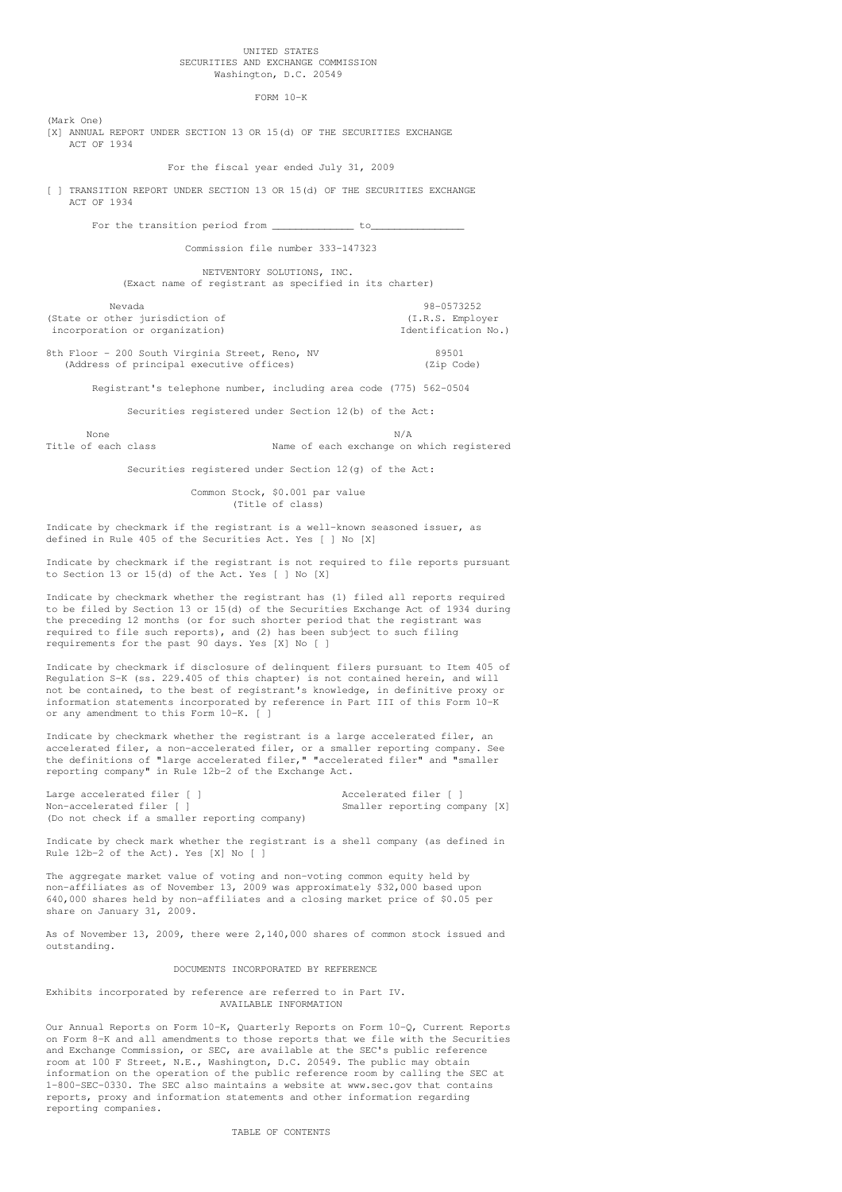### UNITED STATES SECURITIES AND EXCHANGE COMMISSION Washington, D.C. 20549

### FORM 10-K

[X] ANNUAL REPORT UNDER SECTION 13 OR 15(d) OF THE SECURITIES EXCHANGE ACT OF 1934

## For the fiscal year ended July 31, 2009

[ ] TRANSITION REPORT UNDER SECTION 13 OR 15(d) OF THE SECURITIES EXCHANGE ACT OF 1934

For the transition period from \_\_\_\_\_\_\_\_\_\_\_\_\_\_ to\_\_\_\_\_\_\_\_\_\_\_\_\_\_\_\_

Commission file number 333-147323

NETVENTORY SOLUTIONS, INC. (Exact name of registrant as specified in its charter)

(Mark One)

(State or other jurisdiction of  $(1.R.S.$  Employer incorporation or organization)  $\blacksquare$ incorporation or organization)

Nevada 98-0573252<br>
Other jurisdiction of the state of the state of the state of the state of the state of the state of the state o

8th Floor - 200 South Virginia Street, Reno, NV 89501<br>(Address of principal executive offices) (2ip Code) (Address of principal executive offices)

Registrant's telephone number, including area code (775) 562-0504

Securities registered under Section 12(b) of the Act:

None N/A Title of each class Name of each exchange on which registered

Securities registered under Section 12(g) of the Act:

Common Stock, \$0.001 par value (Title of class)

Indicate by checkmark if the registrant is a well-known seasoned issuer, as defined in Rule 405 of the Securities Act. Yes [ ] No [X]

Indicate by checkmark if the registrant is not required to file reports pursuant to Section 13 or 15(d) of the Act. Yes [ ] No [X]

Indicate by checkmark whether the registrant has (1) filed all reports required to be filed by Section 13 or 15(d) of the Securities Exchange Act of 1934 during the preceding 12 months (or for such shorter period that the registrant was required to file such reports), and (2) has been subject to such filing requirements for the past 90 days. Yes [X] No [ ]

Indicate by checkmark if disclosure of delinquent filers pursuant to Item 405 of Regulation S-K (ss. 229.405 of this chapter) is not contained herein, and will not be contained, to the best of registrant's knowledge, in definitive proxy or information statements incorporated by reference in Part III of this Form 10-K or any amendment to this Form 10-K. [ ]

Indicate by checkmark whether the registrant is a large accelerated filer, an accelerated filer, a non-accelerated filer, or a smaller reporting company. See the definitions of "large accelerated filer," "accelerated filer" and "smaller reporting company" in Rule 12b-2 of the Exchange Act.

Large accelerated filer [ ]  $\blacksquare$  Accelerated filer [ ]  $\blacksquare$  Accelerated filer [ ]  $\blacksquare$ Smaller reporting company [X] (Do not check if a smaller reporting company)

Indicate by check mark whether the registrant is a shell company (as defined in Rule 12b-2 of the Act). Yes [X] No [ ]

The aggregate market value of voting and non-voting common equity held by non-affiliates as of November 13, 2009 was approximately \$32,000 based upon 640,000 shares held by non-affiliates and a closing market price of \$0.05 per share on January 31, 2009.

As of November 13, 2009, there were 2,140,000 shares of common stock issued and outstanding.

## DOCUMENTS INCORPORATED BY REFERENCE

Exhibits incorporated by reference are referred to in Part IV. AVAILABLE INFORMATION

Our Annual Reports on Form 10-K, Quarterly Reports on Form 10-Q, Current Reports on Form 8-K and all amendments to those reports that we file with the Securities and Exchange Commission, or SEC, are available at the SEC's public reference room at 100 F Street, N.E., Washington, D.C. 20549. The public may obtain information on the operation of the public reference room by calling the SEC at 1-800-SEC-0330. The SEC also maintains a website at www.sec.gov that contains reports, proxy and information statements and other information regarding reporting companies.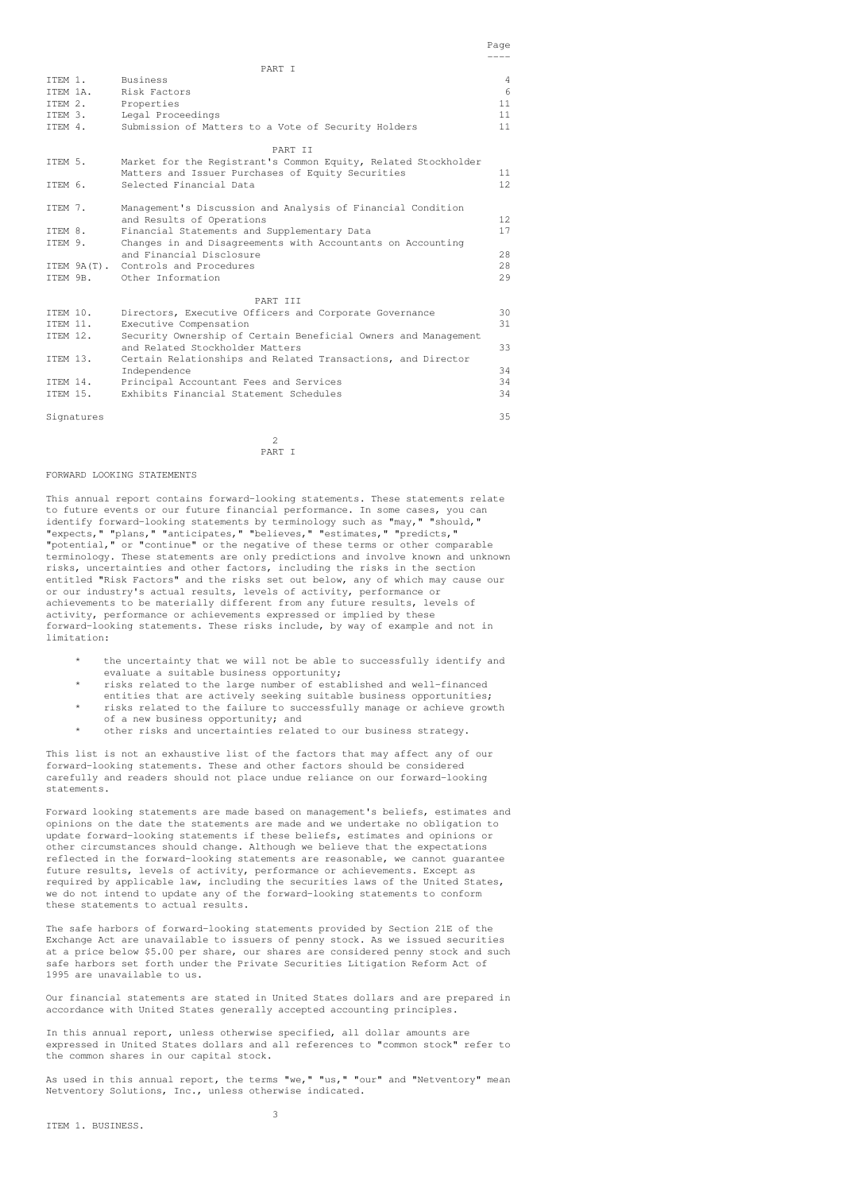Page

|             | PART T                                                 |                                                                |
|-------------|--------------------------------------------------------|----------------------------------------------------------------|
| TTEM 1.     | Business                                               | $\overline{4}$                                                 |
| TTEM 1A.    | Risk Factors                                           | 6                                                              |
| ITEM 2.     | Properties                                             | 11                                                             |
| ITEM 3.     | Legal Proceedings                                      | 11                                                             |
| TTEM 4.     | Submission of Matters to a Vote of Security Holders    | 11                                                             |
|             |                                                        |                                                                |
|             |                                                        | PART II                                                        |
| ITEM 5.     |                                                        | Market for the Registrant's Common Equity, Related Stockholder |
|             | Matters and Issuer Purchases of Equity Securities      | 11                                                             |
| TTEM 6.     | Selected Financial Data                                | 12.                                                            |
| ITEM 7.     |                                                        | Management's Discussion and Analysis of Financial Condition    |
|             | and Results of Operations                              | 12.                                                            |
| TTEM 8.     | Financial Statements and Supplementary Data            | 17                                                             |
| ITEM 9.     |                                                        | Changes in and Disagreements with Accountants on Accounting    |
|             | and Financial Disclosure                               | 28                                                             |
| ITEM 9A(T). | Controls and Procedures                                | 28                                                             |
| TTEM 9B.    | Other Information                                      | 29                                                             |
|             |                                                        |                                                                |
|             | PART TTT                                               |                                                                |
| ITEM 10.    | Directors, Executive Officers and Corporate Governance | 30                                                             |
| ITEM 11.    | Executive Compensation                                 | 31                                                             |
| ITEM 12.    |                                                        | Security Ownership of Certain Beneficial Owners and Management |
|             | and Related Stockholder Matters                        | 33                                                             |
| TTEM 13.    |                                                        | Certain Relationships and Related Transactions, and Director   |
|             | Independence                                           | 34                                                             |
| TTEM 14.    | Principal Accountant Fees and Services                 | 34                                                             |
| ITEM 15.    | Exhibits Financial Statement Schedules                 | 34                                                             |
|             |                                                        | 35                                                             |
| Signatures  |                                                        |                                                                |

 $\overline{2}$ PART I

#### FORWARD LOOKING STATEMENTS

This annual report contains forward-looking statements. These statements relate to future events or our future financial performance. In some cases, you can identify forward-looking statements by terminology such as "may," "should," "expects," "plans," "anticipates," "believes," "estimates," "predicts," "potential," or "continue" or the negative of these terms or other comparable terminology. These statements are only predictions and involve known and unknown risks, uncertainties and other factors, including the risks in the section entitled "Risk Factors" and the risks set out below, any of which may cause our or our industry's actual results, levels of activity, performance or achievements to be materially different from any future results, levels of activity, performance or achievements expressed or implied by these forward-looking statements. These risks include, by way of example and not in limitation:

- the uncertainty that we will not be able to successfully identify and evaluate a suitable business opportunity;
- risks related to the large number of established and well-financed entities that are actively seeking suitable business opportunities;
- risks related to the failure to successfully manage or achieve growth of a new business opportunity; and
- other risks and uncertainties related to our business strategy.

This list is not an exhaustive list of the factors that may affect any of our forward-looking statements. These and other factors should be considered carefully and readers should not place undue reliance on our forward-looking statements.

Forward looking statements are made based on management's beliefs, estimates and opinions on the date the statements are made and we undertake no obligation to update forward-looking statements if these beliefs, estimates and opinions or other circumstances should change. Although we believe that the expectations reflected in the forward-looking statements are reasonable, we cannot guarantee future results, levels of activity, performance or achievements. Except as required by applicable law, including the securities laws of the United States, we do not intend to update any of the forward-looking statements to conform these statements to actual results.

The safe harbors of forward-looking statements provided by Section 21E of the Exchange Act are unavailable to issuers of penny stock. As we issued securities at a price below \$5.00 per share, our shares are considered penny stock and such safe harbors set forth under the Private Securities Litigation Reform Act of 1995 are unavailable to us.

Our financial statements are stated in United States dollars and are prepared in accordance with United States generally accepted accounting principles.

In this annual report, unless otherwise specified, all dollar amounts are expressed in United States dollars and all references to "common stock" refer to the common shares in our capital stock.

As used in this annual report, the terms "we," "us," "our" and "Netventory" mean Netventory Solutions, Inc., unless otherwise indicated.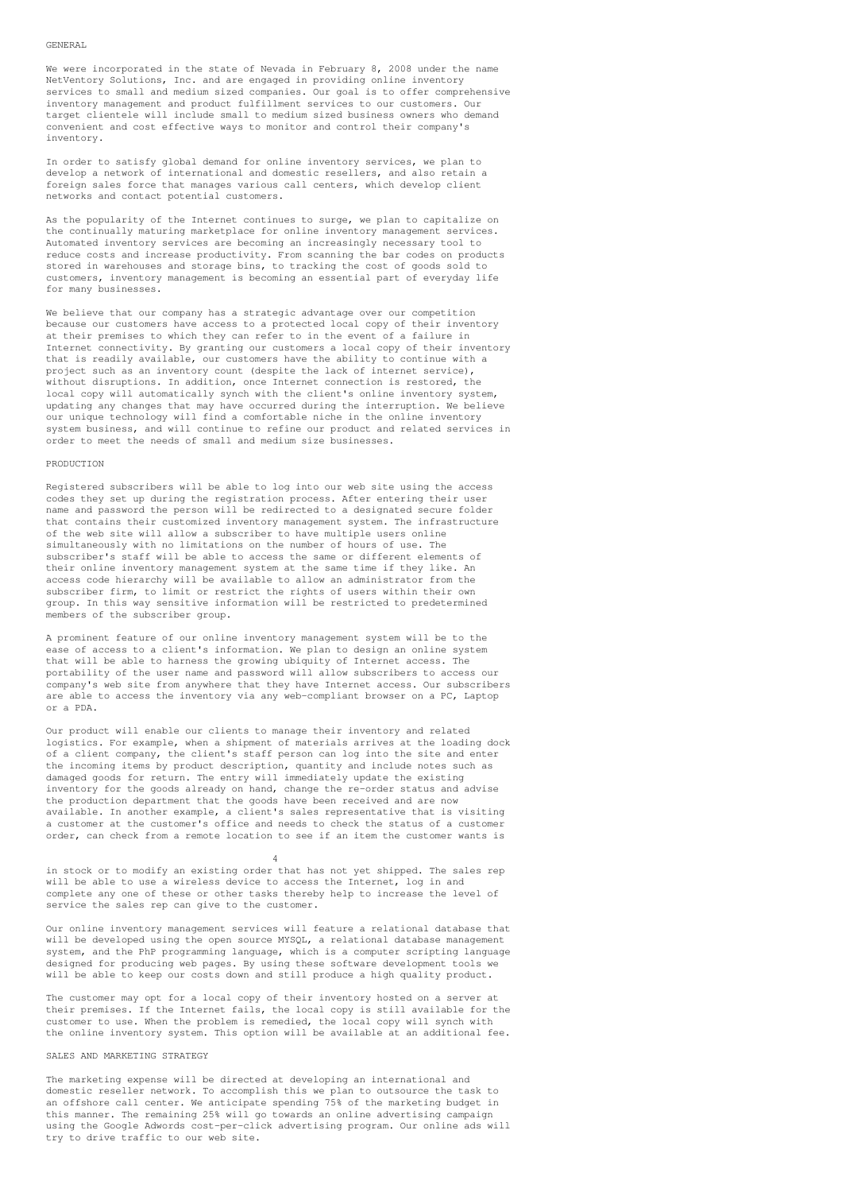#### GENERAL

We were incorporated in the state of Nevada in February 8, 2008 under the name NetVentory Solutions, Inc. and are engaged in providing online inventory services to small and medium sized companies. Our goal is to offer comprehensive inventory management and product fulfillment services to our customers. Our target clientele will include small to medium sized business owners who demand convenient and cost effective ways to monitor and control their company's inventory.

In order to satisfy global demand for online inventory services, we plan to develop a network of international and domestic resellers, and also retain a foreign sales force that manages various call centers, which develop client networks and contact potential customers.

As the popularity of the Internet continues to surge, we plan to capitalize on the continually maturing marketplace for online inventory management services. Automated inventory services are becoming an increasingly necessary tool to reduce costs and increase productivity. From scanning the bar codes on products stored in warehouses and storage bins, to tracking the cost of goods sold to customers, inventory management is becoming an essential part of everyday life for many businesses.

We believe that our company has a strategic advantage over our competition because our customers have access to a protected local copy of their inventory at their premises to which they can refer to in the event of a failure in Internet connectivity. By granting our customers a local copy of their inventory that is readily available, our customers have the ability to continue with a project such as an inventory count (despite the lack of internet service), without disruptions. In addition, once Internet connection is restored, the local copy will automatically synch with the client's online inventory system, updating any changes that may have occurred during the interruption. We believe our unique technology will find a comfortable niche in the online inventory system business, and will continue to refine our product and related services in order to meet the needs of small and medium size businesses.

### PRODUCTION

Registered subscribers will be able to log into our web site using the access codes they set up during the registration process. After entering their user name and password the person will be redirected to a designated secure folder that contains their customized inventory management system. The infrastructure of the web site will allow a subscriber to have multiple users online simultaneously with no limitations on the number of hours of use. The subscriber's staff will be able to access the same or different elements of their online inventory management system at the same time if they like. An access code hierarchy will be available to allow an administrator from the subscriber firm, to limit or restrict the rights of users within their own group. In this way sensitive information will be restricted to predetermined members of the subscriber group.

A prominent feature of our online inventory management system will be to the ease of access to a client's information. We plan to design an online system that will be able to harness the growing ubiquity of Internet access. The portability of the user name and password will allow subscribers to access our company's web site from anywhere that they have Internet access. Our subscribers are able to access the inventory via any web-compliant browser on a PC, Laptop or a PDA.

Our product will enable our clients to manage their inventory and related logistics. For example, when a shipment of materials arrives at the loading dock of a client company, the client's staff person can log into the site and enter the incoming items by product description, quantity and include notes such as damaged goods for return. The entry will immediately update the existing inventory for the goods already on hand, change the re-order status and advise the production department that the goods have been received and are now available. In another example, a client's sales representative that is visiting a customer at the customer's office and needs to check the status of a customer order, can check from a remote location to see if an item the customer wants is

4

in stock or to modify an existing order that has not yet shipped. The sales rep will be able to use a wireless device to access the Internet, log in and complete any one of these or other tasks thereby help to increase the level of service the sales rep can give to the customer.

Our online inventory management services will feature a relational database that will be developed using the open source MYSOL, a relational database management system, and the PhP programming language, which is a computer scripting language designed for producing web pages. By using these software development tools we will be able to keep our costs down and still produce a high quality product.

The customer may opt for a local copy of their inventory hosted on a server at their premises. If the Internet fails, the local copy is still available for the customer to use. When the problem is remedied, the local copy will synch with the online inventory system. This option will be available at an additional fee.

# SALES AND MARKETING STRATEGY

The marketing expense will be directed at developing an international and domestic reseller network. To accomplish this we plan to outsource the task to an offshore call center. We anticipate spending 75% of the marketing budget in this manner. The remaining 25% will go towards an online advertising campaign using the Google Adwords cost-per-click advertising program. Our online ads will try to drive traffic to our web site.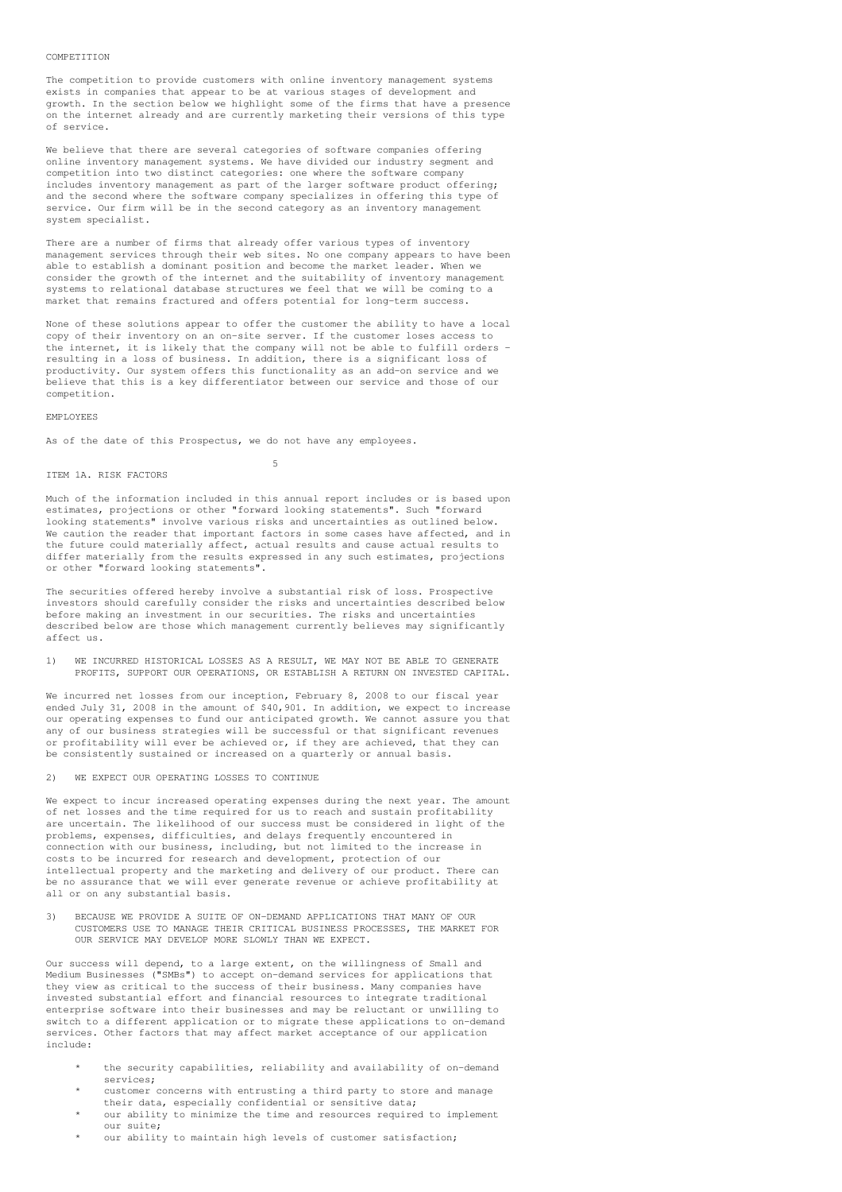## COMPETITION

The competition to provide customers with online inventory management systems exists in companies that appear to be at various stages of development and growth. In the section below we highlight some of the firms that have a presence on the internet already and are currently marketing their versions of this type of service.

We believe that there are several categories of software companies offering online inventory management systems. We have divided our industry segment and competition into two distinct categories: one where the software company includes inventory management as part of the larger software product offering; and the second where the software company specializes in offering this type of service. Our firm will be in the second category as an inventory management system specialist.

There are a number of firms that already offer various types of inventory management services through their web sites. No one company appears to have been able to establish a dominant position and become the market leader. When we consider the growth of the internet and the suitability of inventory management systems to relational database structures we feel that we will be coming to a market that remains fractured and offers potential for long-term success.

None of these solutions appear to offer the customer the ability to have a local copy of their inventory on an on-site server. If the customer loses access to the internet, it is likely that the company will not be able to fulfill orders resulting in a loss of business. In addition, there is a significant loss of productivity. Our system offers this functionality as an add-on service and we believe that this is a key differentiator between our service and those of our competition.

#### EMPLOYEES

As of the date of this Prospectus, we do not have any employees.

#### ITEM 1A. RISK FACTORS

Much of the information included in this annual report includes or is based upon estimates, projections or other "forward looking statements". Such "forward looking statements" involve various risks and uncertainties as outlined below. We caution the reader that important factors in some cases have affected, and in the future could materially affect, actual results and cause actual results to differ materially from the results expressed in any such estimates, projections or other "forward looking statements".

5

The securities offered hereby involve a substantial risk of loss. Prospective investors should carefully consider the risks and uncertainties described below before making an investment in our securities. The risks and uncertainties described below are those which management currently believes may significantly affect us.

1) WE INCURRED HISTORICAL LOSSES AS A RESULT, WE MAY NOT BE ABLE TO GENERATE PROFITS, SUPPORT OUR OPERATIONS, OR ESTABLISH A RETURN ON INVESTED CAPITAL.

We incurred net losses from our inception, February 8, 2008 to our fiscal year ended July 31, 2008 in the amount of \$40,901. In addition, we expect to increase our operating expenses to fund our anticipated growth. We cannot assure you that any of our business strategies will be successful or that significant revenues or profitability will ever be achieved or, if they are achieved, that they can be consistently sustained or increased on a quarterly or annual basis.

### 2) WE EXPECT OUR OPERATING LOSSES TO CONTINUE

We expect to incur increased operating expenses during the next year. The amount of net losses and the time required for us to reach and sustain profitability are uncertain. The likelihood of our success must be considered in light of the problems, expenses, difficulties, and delays frequently encountered in connection with our business, including, but not limited to the increase in costs to be incurred for research and development, protection of our intellectual property and the marketing and delivery of our product. There can be no assurance that we will ever generate revenue or achieve profitability at all or on any substantial basis.

3) BECAUSE WE PROVIDE A SUITE OF ON-DEMAND APPLICATIONS THAT MANY OF OUR CUSTOMERS USE TO MANAGE THEIR CRITICAL BUSINESS PROCESSES, THE MARKET FOR OUR SERVICE MAY DEVELOP MORE SLOWLY THAN WE EXPECT.

Our success will depend, to a large extent, on the willingness of Small and Medium Businesses ("SMBs") to accept on-demand services for applications that they view as critical to the success of their business. Many companies have invested substantial effort and financial resources to integrate traditional enterprise software into their businesses and may be reluctant or unwilling to switch to a different application or to migrate these applications to on-demand services. Other factors that may affect market acceptance of our application include:

- the security capabilities, reliability and availability of on-demand services;
- customer concerns with entrusting a third party to store and manage their data, especially confidential or sensitive data;
- our ability to minimize the time and resources required to implement our suite;
- our ability to maintain high levels of customer satisfaction;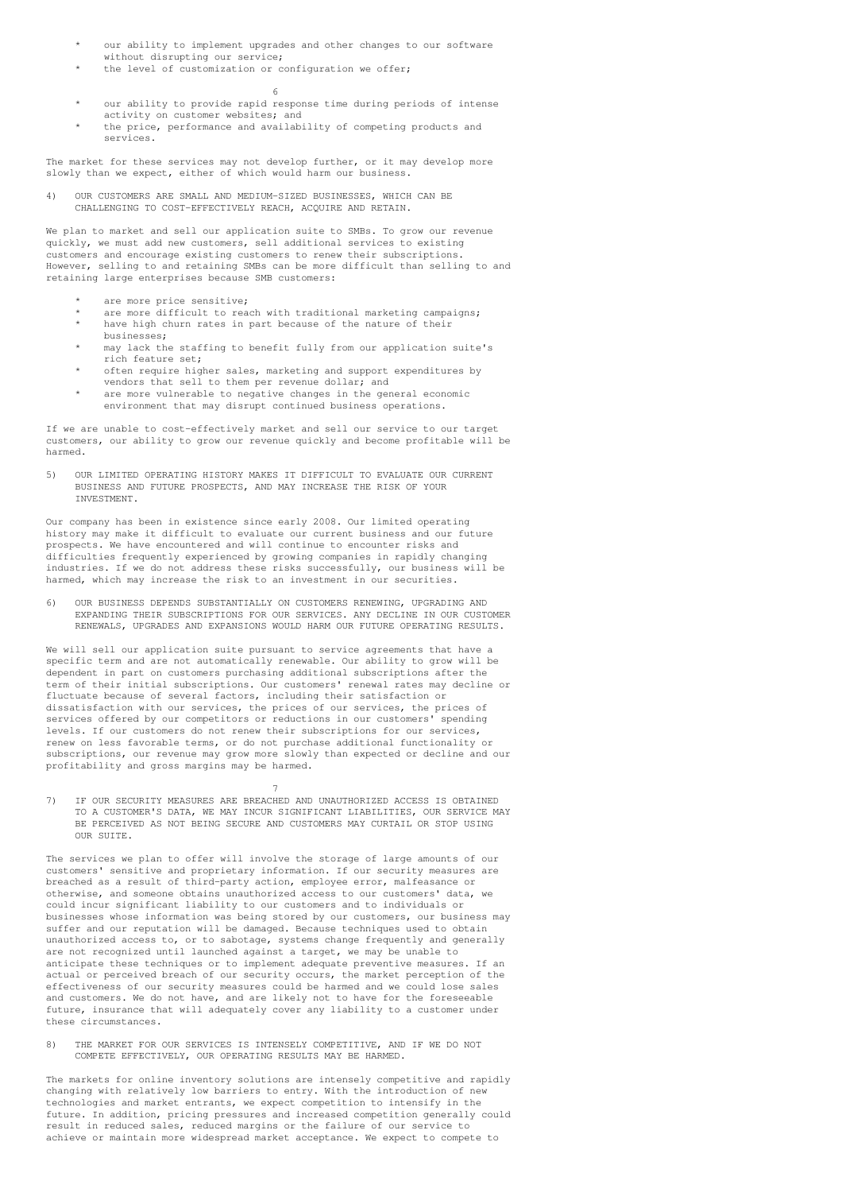- our ability to implement upgrades and other changes to our software without disrupting our service;
- the level of customization or configuration we offer;
- 6 \* our ability to provide rapid response time during periods of intense activity on customer websites; and
- the price, performance and availability of competing products and services.

The market for these services may not develop further, or it may develop more slowly than we expect, either of which would harm our business.

4) OUR CUSTOMERS ARE SMALL AND MEDIUM-SIZED BUSINESSES, WHICH CAN BE CHALLENGING TO COST-EFFECTIVELY REACH, ACQUIRE AND RETAIN.

We plan to market and sell our application suite to SMBs. To grow our revenue quickly, we must add new customers, sell additional services to existing customers and encourage existing customers to renew their subscriptions. However, selling to and retaining SMBs can be more difficult than selling to and retaining large enterprises because SMB customers:

- are more price sensitive;
- are more difficult to reach with traditional marketing campaigns;
- have high churn rates in part because of the nature of their businesses;
- may lack the staffing to benefit fully from our application suite's rich feature set;
- often require higher sales, marketing and support expenditures by vendors that sell to them per revenue dollar; and
- are more vulnerable to negative changes in the general economic environment that may disrupt continued business operations.

If we are unable to cost-effectively market and sell our service to our target customers, our ability to grow our revenue quickly and become profitable will be harmed.

5) OUR LIMITED OPERATING HISTORY MAKES IT DIFFICULT TO EVALUATE OUR CURRENT BUSINESS AND FUTURE PROSPECTS, AND MAY INCREASE THE RISK OF YOUR INVESTMENT.

Our company has been in existence since early 2008. Our limited operating history may make it difficult to evaluate our current business and our future prospects. We have encountered and will continue to encounter risks and difficulties frequently experienced by growing companies in rapidly changing industries. If we do not address these risks successfully, our business will be harmed, which may increase the risk to an investment in our securities.

OUR BUSINESS DEPENDS SUBSTANTIALLY ON CUSTOMERS RENEWING, UPGRADING AND EXPANDING THEIR SUBSCRIPTIONS FOR OUR SERVICES. ANY DECLINE IN OUR CUSTOMER RENEWALS, UPGRADES AND EXPANSIONS WOULD HARM OUR FUTURE OPERATING RESULTS.

We will sell our application suite pursuant to service agreements that have a specific term and are not automatically renewable. Our ability to grow will be dependent in part on customers purchasing additional subscriptions after the term of their initial subscriptions. Our customers' renewal rates may decline or fluctuate because of several factors, including their satisfaction or dissatisfaction with our services, the prices of our services, the prices of services offered by our competitors or reductions in our customers' spending levels. If our customers do not renew their subscriptions for our services, renew on less favorable terms, or do not purchase additional functionality or subscriptions, our revenue may grow more slowly than expected or decline and our profitability and gross margins may be harmed.

7

7) IF OUR SECURITY MEASURES ARE BREACHED AND UNAUTHORIZED ACCESS IS OBTAINED TO A CUSTOMER'S DATA, WE MAY INCUR SIGNIFICANT LIABILITIES, OUR SERVICE MAY BE PERCEIVED AS NOT BEING SECURE AND CUSTOMERS MAY CURTAIL OR STOP USING OUR SUITE.

The services we plan to offer will involve the storage of large amounts of our customers' sensitive and proprietary information. If our security measures are breached as a result of third-party action, employee error, malfeasance or otherwise, and someone obtains unauthorized access to our customers' data, we could incur significant liability to our customers and to individuals or businesses whose information was being stored by our customers, our business may suffer and our reputation will be damaged. Because techniques used to obtain unauthorized access to, or to sabotage, systems change frequently and generally are not recognized until launched against a target, we may be unable to anticipate these techniques or to implement adequate preventive measures. If an actual or perceived breach of our security occurs, the market perception of the effectiveness of our security measures could be harmed and we could lose sales and customers. We do not have, and are likely not to have for the foreseeable future, insurance that will adequately cover any liability to a customer under these circumstances.

8) THE MARKET FOR OUR SERVICES IS INTENSELY COMPETITIVE, AND IF WE DO NOT COMPETE EFFECTIVELY, OUR OPERATING RESULTS MAY BE HARMED.

The markets for online inventory solutions are intensely competitive and rapidly changing with relatively low barriers to entry. With the introduction of new technologies and market entrants, we expect competition to intensify in the future. In addition, pricing pressures and increased competition generally could result in reduced sales, reduced margins or the failure of our service to achieve or maintain more widespread market acceptance. We expect to compete to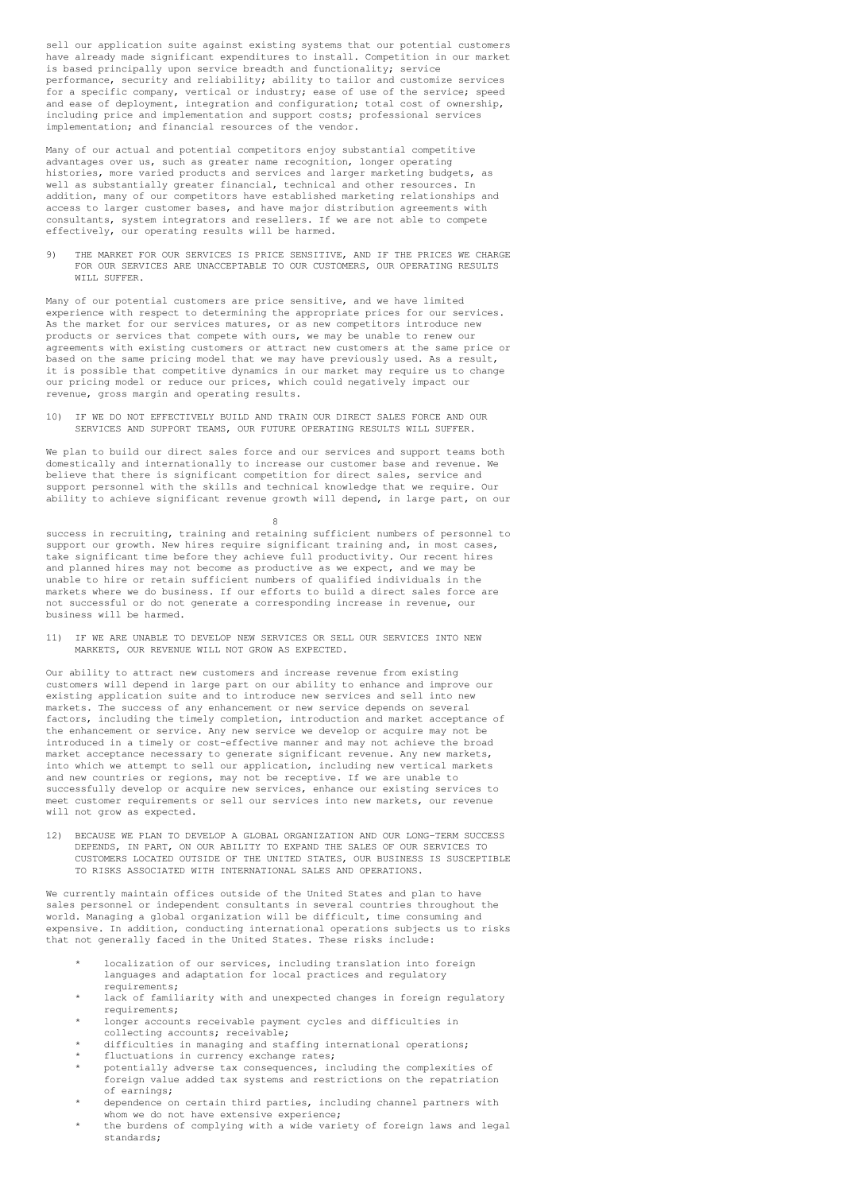sell our application suite against existing systems that our potential customers have already made significant expenditures to install. Competition in our market is based principally upon service breadth and functionality; service performance, security and reliability; ability to tailor and customize services .<br>for a specific company, vertical or industry; ease of use of the service; speed and ease of deployment, integration and configuration; total cost of ownership, including price and implementation and support costs; professional services implementation; and financial resources of the vendor.

Many of our actual and potential competitors enjoy substantial competitive advantages over us, such as greater name recognition, longer operating histories, more varied products and services and larger marketing budgets, as well as substantially greater financial, technical and other resources. In addition, many of our competitors have established marketing relationships and access to larger customer bases, and have major distribution agreements with consultants, system integrators and resellers. If we are not able to compete effectively, our operating results will be harmed.

9) THE MARKET FOR OUR SERVICES IS PRICE SENSITIVE, AND IF THE PRICES WE CHARGE FOR OUR SERVICES ARE UNACCEPTABLE TO OUR CUSTOMERS, OUR OPERATING RESULTS WILL SUFFER.

Many of our potential customers are price sensitive, and we have limited experience with respect to determining the appropriate prices for our services. As the market for our services matures, or as new competitors introduce new products or services that compete with ours, we may be unable to renew our agreements with existing customers or attract new customers at the same price or based on the same pricing model that we may have previously used. As a result, it is possible that competitive dynamics in our market may require us to change our pricing model or reduce our prices, which could negatively impact our revenue, gross margin and operating results.

10) IF WE DO NOT EFFECTIVELY BUILD AND TRAIN OUR DIRECT SALES FORCE AND OUR SERVICES AND SUPPORT TEAMS, OUR FUTURE OPERATING RESULTS WILL SUFFER.

We plan to build our direct sales force and our services and support teams both domestically and internationally to increase our customer base and revenue. We believe that there is significant competition for direct sales, service and support personnel with the skills and technical knowledge that we require. Our ability to achieve significant revenue growth will depend, in large part, on our

8

success in recruiting, training and retaining sufficient numbers of personnel to support our growth. New hires require significant training and, in most cases, take significant time before they achieve full productivity. Our recent hires and planned hires may not become as productive as we expect, and we may be unable to hire or retain sufficient numbers of qualified individuals in the markets where we do business. If our efforts to build a direct sales force are not successful or do not generate a corresponding increase in revenue, our business will be harmed.

11) IF WE ARE UNABLE TO DEVELOP NEW SERVICES OR SELL OUR SERVICES INTO NEW MARKETS, OUR REVENUE WILL NOT GROW AS EXPECTED.

Our ability to attract new customers and increase revenue from existing customers will depend in large part on our ability to enhance and improve our existing application suite and to introduce new services and sell into new markets. The success of any enhancement or new service depends on several factors, including the timely completion, introduction and market acceptance of the enhancement or service. Any new service we develop or acquire may not be introduced in a timely or cost-effective manner and may not achieve the broad market acceptance necessary to generate significant revenue. Any new markets, into which we attempt to sell our application, including new vertical markets and new countries or regions, may not be receptive. If we are unable to successfully develop or acquire new services, enhance our existing services to meet customer requirements or sell our services into new markets, our revenue will not grow as expected.

12) BECAUSE WE PLAN TO DEVELOP A GLOBAL ORGANIZATION AND OUR LONG-TERM SUCCESS DEPENDS, IN PART, ON OUR ABILITY TO EXPAND THE SALES OF OUR SERVICES TO CUSTOMERS LOCATED OUTSIDE OF THE UNITED STATES, OUR BUSINESS IS SUSCEPTIBLE TO RISKS ASSOCIATED WITH INTERNATIONAL SALES AND OPERATIONS.

We currently maintain offices outside of the United States and plan to have sales personnel or independent consultants in several countries throughout the world. Managing a global organization will be difficult, time consuming and expensive. In addition, conducting international operations subjects us to risks that not generally faced in the United States. These risks include:

- \* localization of our services, including translation into foreign languages and adaptation for local practices and regulatory requirements;
- lack of familiarity with and unexpected changes in foreign regulatory requirements;
- longer accounts receivable payment cycles and difficulties in collecting accounts; receivable;
- difficulties in managing and staffing international operations;
- fluctuations in currency exchange rates;
- potentially adverse tax consequences, including the complexities of foreign value added tax systems and restrictions on the repatriation of earnings;
- dependence on certain third parties, including channel partners with whom we do not have extensive experience;
- the burdens of complying with a wide variety of foreign laws and legal standards;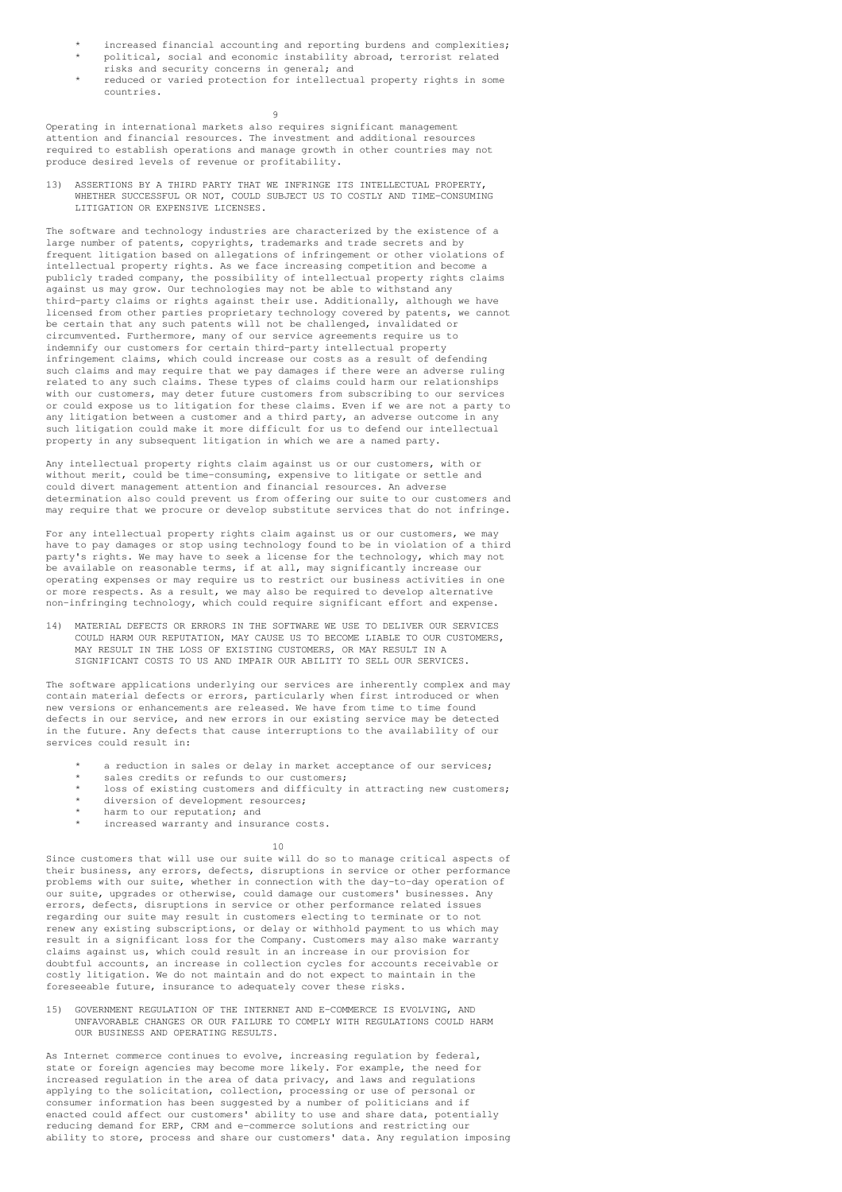- increased financial accounting and reporting burdens and complexities;
- \* political, social and economic instability abroad, terrorist related risks and security concerns in general; and
- reduced or varied protection for intellectual property rights in some countries.

Operating in international markets also requires significant management attention and financial resources. The investment and additional resources required to establish operations and manage growth in other countries may not produce desired levels of revenue or profitability.

 $\overline{9}$ 

13) ASSERTIONS BY A THIRD PARTY THAT WE INFRINGE ITS INTELLECTUAL PROPERTY, WHETHER SUCCESSFUL OR NOT, COULD SUBJECT US TO COSTLY AND TIME-CONSUMING LITIGATION OR EXPENSIVE LICENSES.

The software and technology industries are characterized by the existence of a large number of patents, copyrights, trademarks and trade secrets and by frequent litigation based on allegations of infringement or other violations of intellectual property rights. As we face increasing competition and become a publicly traded company, the possibility of intellectual property rights claims against us may grow. Our technologies may not be able to withstand any third-party claims or rights against their use. Additionally, although we have licensed from other parties proprietary technology covered by patents, we cannot be certain that any such patents will not be challenged, invalidated or circumvented. Furthermore, many of our service agreements require us to indemnify our customers for certain third-party intellectual property infringement claims, which could increase our costs as a result of defending such claims and may require that we pay damages if there were an adverse ruling related to any such claims. These types of claims could harm our relationships with our customers, may deter future customers from subscribing to our services or could expose us to litigation for these claims. Even if we are not a party to any litigation between a customer and a third party, an adverse outcome in any such litigation could make it more difficult for us to defend our intellectual property in any subsequent litigation in which we are a named party.

Any intellectual property rights claim against us or our customers, with or without merit, could be time-consuming, expensive to litigate or settle and could divert management attention and financial resources. An adverse determination also could prevent us from offering our suite to our customers and may require that we procure or develop substitute services that do not infringe.

For any intellectual property rights claim against us or our customers, we may have to pay damages or stop using technology found to be in violation of a third party's rights. We may have to seek a license for the technology, which may not be available on reasonable terms, if at all, may significantly increase our operating expenses or may require us to restrict our business activities in one or more respects. As a result, we may also be required to develop alternative non-infringing technology, which could require significant effort and expense.

14) MATERIAL DEFECTS OR ERRORS IN THE SOFTWARE WE USE TO DELIVER OUR SERVICES COULD HARM OUR REPUTATION, MAY CAUSE US TO BECOME LIABLE TO OUR CUSTOMERS, MAY RESULT IN THE LOSS OF EXISTING CUSTOMERS, OR MAY RESULT IN A SIGNIFICANT COSTS TO US AND IMPAIR OUR ABILITY TO SELL OUR SERVICES.

The software applications underlying our services are inherently complex and may contain material defects or errors, particularly when first introduced or when new versions or enhancements are released. We have from time to time found defects in our service, and new errors in our existing service may be detected in the future. Any defects that cause interruptions to the availability of our services could result in:

- a reduction in sales or delay in market acceptance of our services;
- sales credits or refunds to our customers;
- loss of existing customers and difficulty in attracting new customers;
- diversion of development resources;
- harm to our reputation; and
- increased warranty and insurance costs.

10

Since customers that will use our suite will do so to manage critical aspects of their business, any errors, defects, disruptions in service or other performance problems with our suite, whether in connection with the day-to-day operation of our suite, upgrades or otherwise, could damage our customers' businesses. Any errors, defects, disruptions in service or other performance related issues regarding our suite may result in customers electing to terminate or to not renew any existing subscriptions, or delay or withhold payment to us which may result in a significant loss for the Company. Customers may also make warranty claims against us, which could result in an increase in our provision for doubtful accounts, an increase in collection cycles for accounts receivable or costly litigation. We do not maintain and do not expect to maintain in the foreseeable future, insurance to adequately cover these risks.

15) GOVERNMENT REGULATION OF THE INTERNET AND E-COMMERCE IS EVOLVING, AND UNFAVORABLE CHANGES OR OUR FAILURE TO COMPLY WITH REGULATIONS COULD HARM OUR BUSINESS AND OPERATING RESULTS.

As Internet commerce continues to evolve, increasing regulation by federal, state or foreign agencies may become more likely. For example, the need for increased regulation in the area of data privacy, and laws and regulations applying to the solicitation, collection, processing or use of personal or consumer information has been suggested by a number of politicians and if enacted could affect our customers' ability to use and share data, potentially reducing demand for ERP, CRM and e-commerce solutions and restricting our ability to store, process and share our customers' data. Any regulation imposing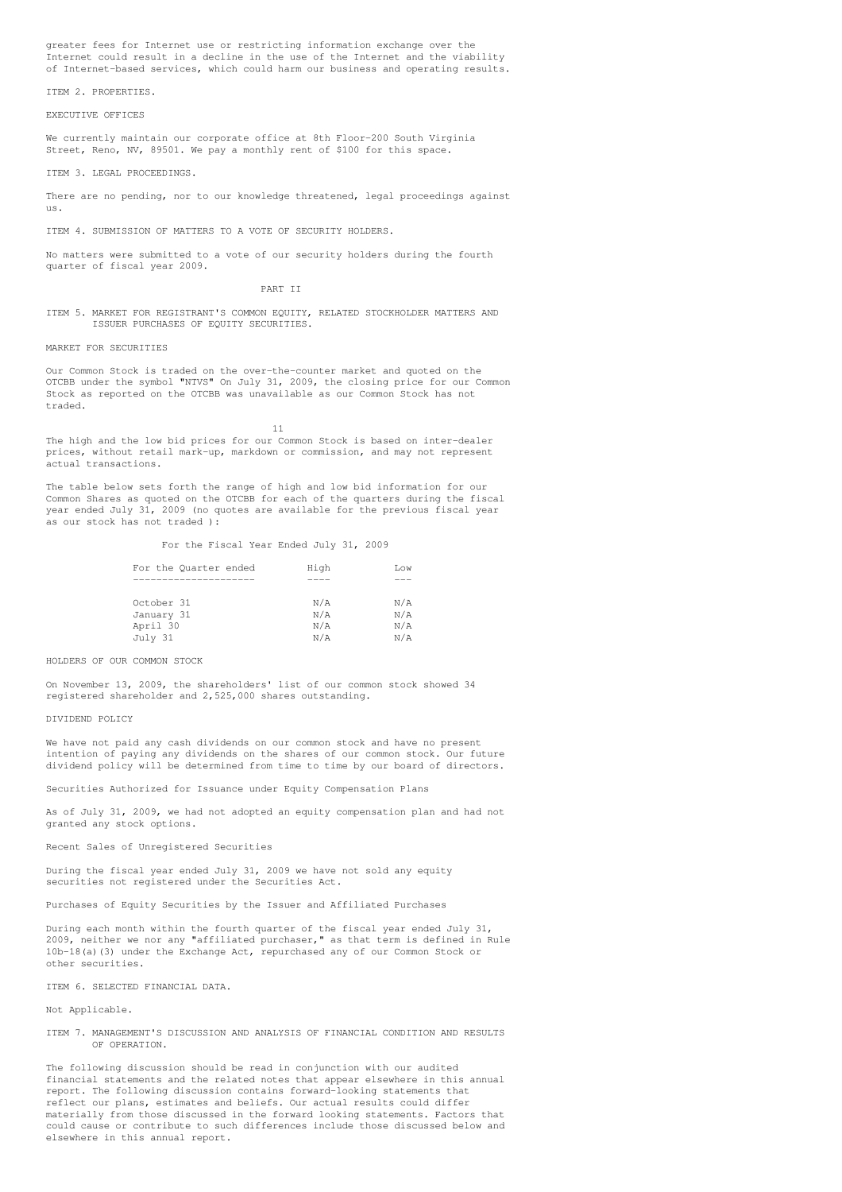greater fees for Internet use or restricting information exchange over the Internet could result in a decline in the use of the Internet and the viability of Internet-based services, which could harm our business and operating results.

ITEM 2. PROPERTIES.

EXECUTIVE OFFICES

We currently maintain our corporate office at 8th Floor-200 South Virginia Street, Reno, NV, 89501. We pay a monthly rent of \$100 for this space.

ITEM 3. LEGAL PROCEEDINGS.

There are no pending, nor to our knowledge threatened, legal proceedings against us.

ITEM 4. SUBMISSION OF MATTERS TO A VOTE OF SECURITY HOLDERS.

No matters were submitted to a vote of our security holders during the fourth quarter of fiscal year 2009.

PART II

ITEM 5. MARKET FOR REGISTRANT'S COMMON EQUITY, RELATED STOCKHOLDER MATTERS AND ISSUER PURCHASES OF EQUITY SECURITIES.

MARKET FOR SECURITIES

Our Common Stock is traded on the over-the-counter market and quoted on the OTCBB under the symbol "NTVS" On July 31, 2009, the closing price for our Common Stock as reported on the OTCBB was unavailable as our Common Stock has not traded.

11

The high and the low bid prices for our Common Stock is based on inter-dealer prices, without retail mark-up, markdown or commission, and may not represent actual transactions.

The table below sets forth the range of high and low bid information for our Common Shares as quoted on the OTCBB for each of the quarters during the fiscal year ended July 31, 2009 (no quotes are available for the previous fiscal year as our stock has not traded ):

### For the Fiscal Year Ended July 31, 2009

| For the Quarter ended | High | Low |
|-----------------------|------|-----|
|                       |      | --- |
|                       |      |     |
| October 31            | N/A  | N/A |
| January 31            | N/A  | N/A |
| April 30              | N/A  | N/A |
| July 31               | N/A  | N/A |

HOLDERS OF OUR COMMON STOCK

On November 13, 2009, the shareholders' list of our common stock showed 34 registered shareholder and 2,525,000 shares outstanding.

DIVIDEND POLICY

We have not paid any cash dividends on our common stock and have no present intention of paying any dividends on the shares of our common stock. Our future dividend policy will be determined from time to time by our board of directors.

Securities Authorized for Issuance under Equity Compensation Plans

As of July 31, 2009, we had not adopted an equity compensation plan and had not granted any stock options.

# Recent Sales of Unregistered Securities

During the fiscal year ended July 31, 2009 we have not sold any equity securities not registered under the Securities Act.

Purchases of Equity Securities by the Issuer and Affiliated Purchases

During each month within the fourth quarter of the fiscal year ended July 31, 2009, neither we nor any "affiliated purchaser," as that term is defined in Rule 10b-18(a)(3) under the Exchange Act, repurchased any of our Common Stock or other securities.

ITEM 6. SELECTED FINANCIAL DATA.

Not Applicable.

ITEM 7. MANAGEMENT'S DISCUSSION AND ANALYSIS OF FINANCIAL CONDITION AND RESULTS OF OPERATION.

The following discussion should be read in conjunction with our audited financial statements and the related notes that appear elsewhere in this annual report. The following discussion contains forward-looking statements that reflect our plans, estimates and beliefs. Our actual results could differ materially from those discussed in the forward looking statements. Factors that could cause or contribute to such differences include those discussed below and elsewhere in this annual report.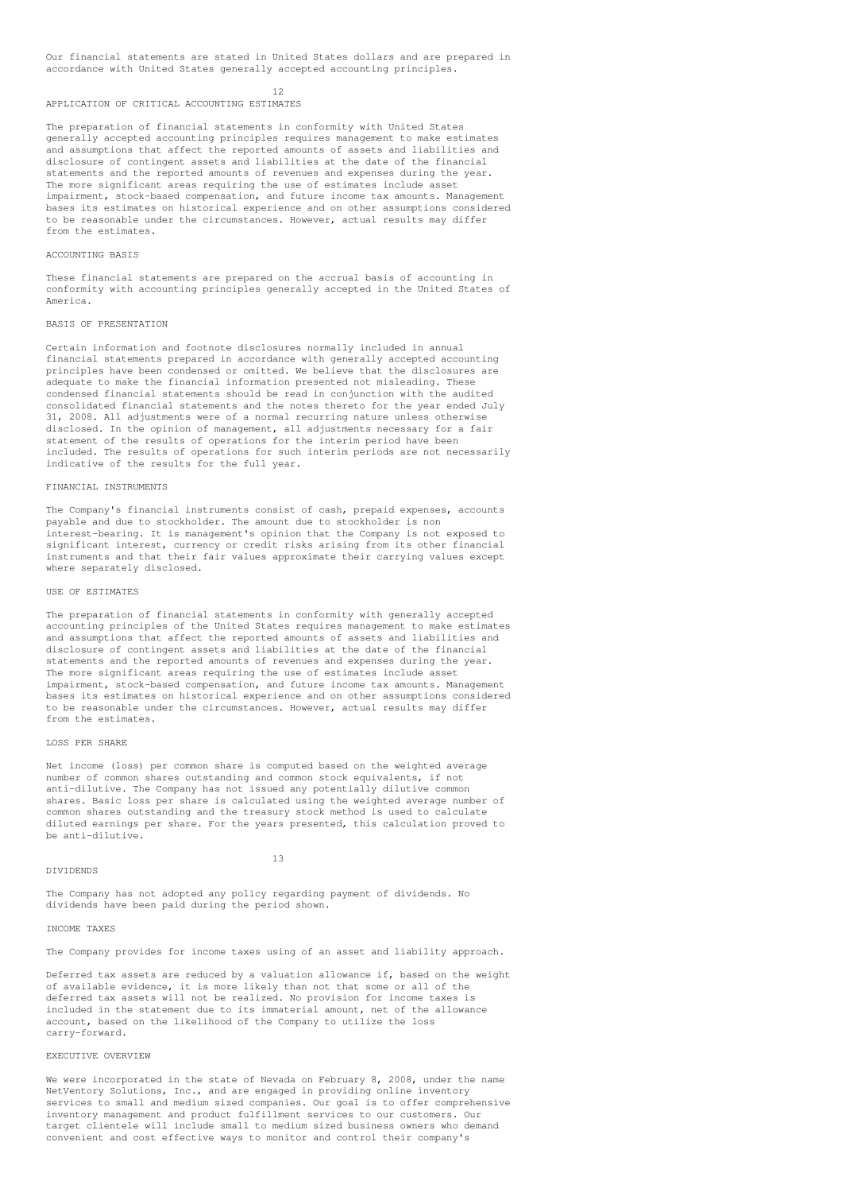#### $12$

## APPLICATION OF CRITICAL ACCOUNTING ESTIMATES

The preparation of financial statements in conformity with United States generally accepted accounting principles requires management to make estimates and assumptions that affect the reported amounts of assets and liabilities and disclosure of contingent assets and liabilities at the date of the financial statements and the reported amounts of revenues and expenses during the year. The more significant areas requiring the use of estimates include asset impairment, stock-based compensation, and future income tax amounts. Management bases its estimates on historical experience and on other assumptions considered to be reasonable under the circumstances. However, actual results may differ from the estimates.

## ACCOUNTING BASIS

These financial statements are prepared on the accrual basis of accounting in conformity with accounting principles generally accepted in the United States of America.

### BASIS OF PRESENTATION

Certain information and footnote disclosures normally included in annual financial statements prepared in accordance with generally accepted accounting principles have been condensed or omitted. We believe that the disclosures are adequate to make the financial information presented not misleading. These condensed financial statements should be read in conjunction with the audited consolidated financial statements and the notes thereto for the year ended July 31, 2008. All adjustments were of a normal recurring nature unless otherwise disclosed. In the opinion of management, all adjustments necessary for a fair statement of the results of operations for the interim period have been included. The results of operations for such interim periods are not necessarily indicative of the results for the full year.

### FINANCIAL INSTRUMENTS

The Company's financial instruments consist of cash, prepaid expenses, accounts payable and due to stockholder. The amount due to stockholder is non interest-bearing. It is management's opinion that the Company is not exposed to significant interest, currency or credit risks arising from its other financial instruments and that their fair values approximate their carrying values except where separately disclosed.

#### USE OF ESTIMATES

The preparation of financial statements in conformity with generally accepted accounting principles of the United States requires management to make estimates and assumptions that affect the reported amounts of assets and liabilities and disclosure of contingent assets and liabilities at the date of the financial statements and the reported amounts of revenues and expenses during the year. The more significant areas requiring the use of estimates include asset impairment, stock-based compensation, and future income tax amounts. Management bases its estimates on historical experience and on other assumptions considered to be reasonable under the circumstances. However, actual results may differ from the estimates.

#### LOSS PER SHARE

Net income (loss) per common share is computed based on the weighted average number of common shares outstanding and common stock equivalents, if not anti-dilutive. The Company has not issued any potentially dilutive common shares. Basic loss per share is calculated using the weighted average number of common shares outstanding and the treasury stock method is used to calculate diluted earnings per share. For the years presented, this calculation proved to be anti-dilutive.

### DIVIDENDS

13

The Company has not adopted any policy regarding payment of dividends. No dividends have been paid during the period shown.

### INCOME TAXES

The Company provides for income taxes using of an asset and liability approach.

Deferred tax assets are reduced by a valuation allowance if, based on the weight of available evidence, it is more likely than not that some or all of the deferred tax assets will not be realized. No provision for income taxes is included in the statement due to its immaterial amount, net of the allowance account, based on the likelihood of the Company to utilize the loss carry-forward.

## EXECUTIVE OVERVIEW

We were incorporated in the state of Nevada on February 8, 2008, under the name NetVentory Solutions, Inc., and are engaged in providing online inventory services to small and medium sized companies. Our goal is to offer comprehensive inventory management and product fulfillment services to our customers. Our target clientele will include small to medium sized business owners who demand convenient and cost effective ways to monitor and control their company's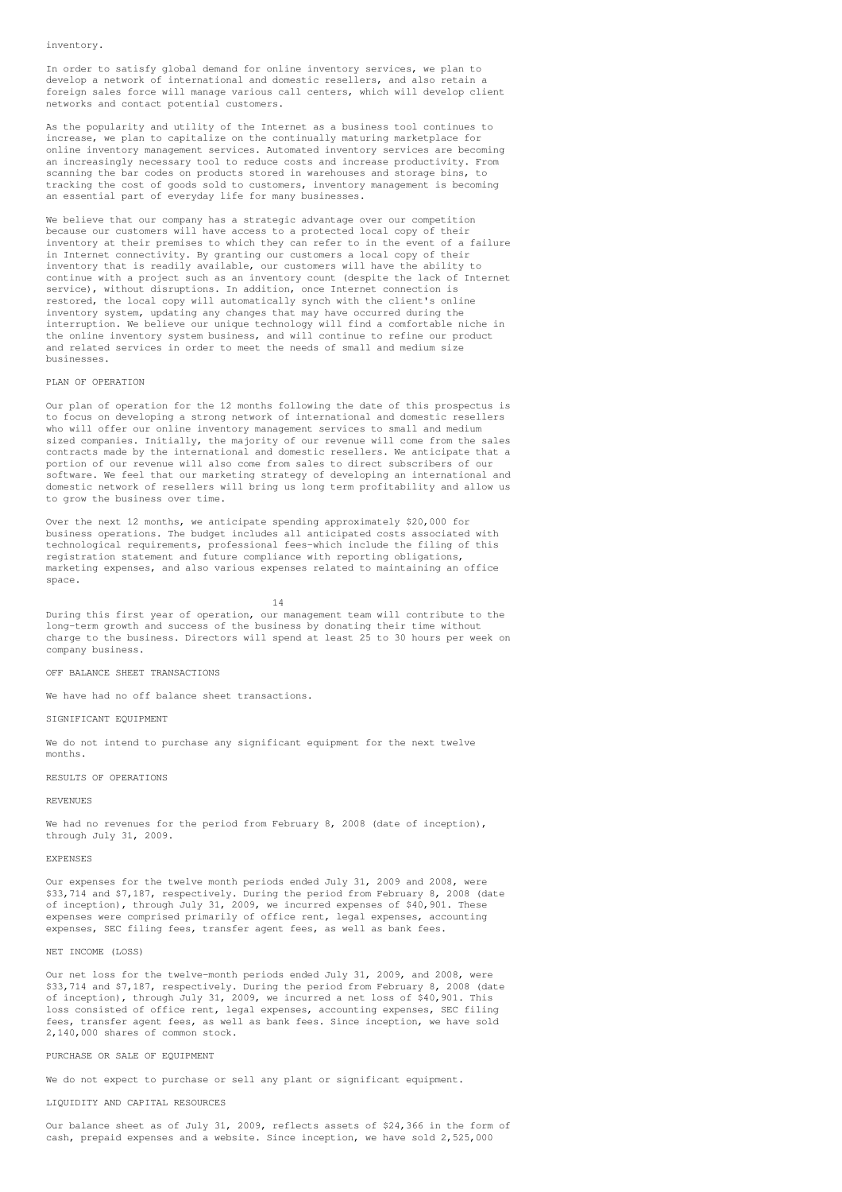inventory.

In order to satisfy global demand for online inventory services, we plan to develop a network of international and domestic resellers, and also retain a foreign sales force will manage various call centers, which will develop client networks and contact potential customers.

As the popularity and utility of the Internet as a business tool continues to increase, we plan to capitalize on the continually maturing marketplace for online inventory management services. Automated inventory services are becoming an increasingly necessary tool to reduce costs and increase productivity. From scanning the bar codes on products stored in warehouses and storage bins, to tracking the cost of goods sold to customers, inventory management is becoming an essential part of everyday life for many businesses.

We believe that our company has a strategic advantage over our competition because our customers will have access to a protected local copy of their inventory at their premises to which they can refer to in the event of a failure in Internet connectivity. By granting our customers a local copy of their inventory that is readily available, our customers will have the ability to continue with a project such as an inventory count (despite the lack of Internet service), without disruptions. In addition, once Internet connection is restored, the local copy will automatically synch with the client's online inventory system, updating any changes that may have occurred during the interruption. We believe our unique technology will find a comfortable niche in the online inventory system business, and will continue to refine our product and related services in order to meet the needs of small and medium size businesses.

### PLAN OF OPERATION

Our plan of operation for the 12 months following the date of this prospectus is to focus on developing a strong network of international and domestic resellers who will offer our online inventory management services to small and medium sized companies. Initially, the majority of our revenue will come from the sales contracts made by the international and domestic resellers. We anticipate that a portion of our revenue will also come from sales to direct subscribers of our software. We feel that our marketing strategy of developing an international and domestic network of resellers will bring us long term profitability and allow us to grow the business over time.

Over the next 12 months, we anticipate spending approximately \$20,000 for business operations. The budget includes all anticipated costs associated with technological requirements, professional fees-which include the filing of this registration statement and future compliance with reporting obligations, marketing expenses, and also various expenses related to maintaining an office space.

14

During this first year of operation, our management team will contribute to the long-term growth and success of the business by donating their time without charge to the business. Directors will spend at least 25 to 30 hours per week on company business.

OFF BALANCE SHEET TRANSACTIONS

We have had no off balance sheet transactions.

SIGNIFICANT EQUIPMENT

We do not intend to purchase any significant equipment for the next twelve months.

RESULTS OF OPERATIONS

#### REVENUES

We had no revenues for the period from February 8, 2008 (date of inception), through July 31, 2009.

## EXPENSES

Our expenses for the twelve month periods ended July 31, 2009 and 2008, were \$33,714 and \$7,187, respectively. During the period from February 8, 2008 (date of inception), through July 31, 2009, we incurred expenses of \$40,901. These expenses were comprised primarily of office rent, legal expenses, accounting expenses, SEC filing fees, transfer agent fees, as well as bank fees.

## NET INCOME (LOSS)

Our net loss for the twelve-month periods ended July 31, 2009, and 2008, were \$33,714 and \$7,187, respectively. During the period from February 8, 2008 (date of inception), through July 31, 2009, we incurred a net loss of \$40,901. This loss consisted of office rent, legal expenses, accounting expenses, SEC filing fees, transfer agent fees, as well as bank fees. Since inception, we have sold 2,140,000 shares of common stock.

PURCHASE OR SALE OF EQUIPMENT

We do not expect to purchase or sell any plant or significant equipment.

LIQUIDITY AND CAPITAL RESOURCES

Our balance sheet as of July 31, 2009, reflects assets of \$24,366 in the form of cash, prepaid expenses and a website. Since inception, we have sold 2,525,000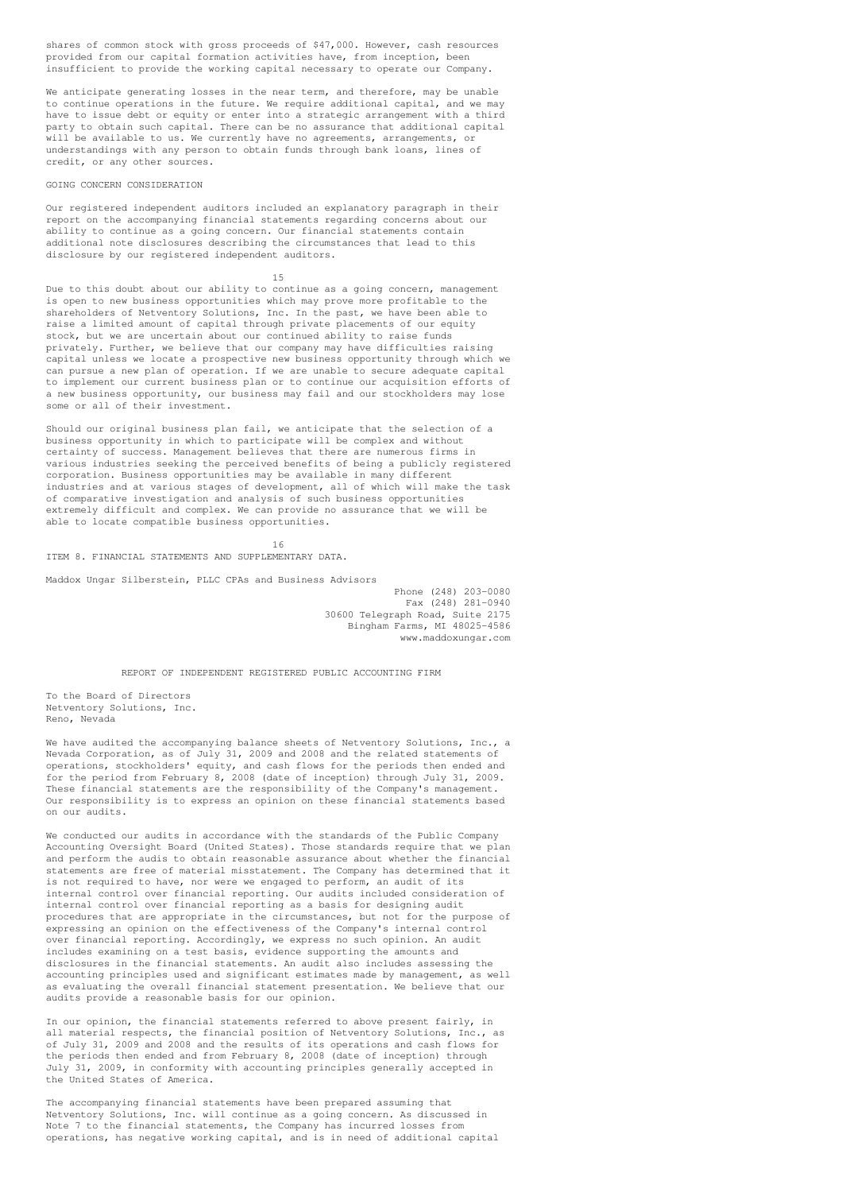shares of common stock with gross proceeds of \$47,000. However, cash resources provided from our capital formation activities have, from inception, been insufficient to provide the working capital necessary to operate our Company.

We anticipate generating losses in the near term, and therefore, may be unable to continue operations in the future. We require additional capital, and we may have to issue debt or equity or enter into a strategic arrangement with a third party to obtain such capital. There can be no assurance that additional capital will be available to us. We currently have no agreements, arrangements, or understandings with any person to obtain funds through bank loans, lines of credit, or any other sources.

### GOING CONCERN CONSIDERATION

Our registered independent auditors included an explanatory paragraph in their report on the accompanying financial statements regarding concerns about our ability to continue as a going concern. Our financial statements contain additional note disclosures describing the circumstances that lead to this disclosure by our registered independent auditors.

15

Due to this doubt about our ability to continue as a going concern, management is open to new business opportunities which may prove more profitable to the shareholders of Netventory Solutions, Inc. In the past, we have been able to raise a limited amount of capital through private placements of our equity stock, but we are uncertain about our continued ability to raise funds privately. Further, we believe that our company may have difficulties raising capital unless we locate a prospective new business opportunity through which we can pursue a new plan of operation. If we are unable to secure adequate capital to implement our current business plan or to continue our acquisition efforts of a new business opportunity, our business may fail and our stockholders may lose some or all of their investment.

Should our original business plan fail, we anticipate that the selection of a business opportunity in which to participate will be complex and without certainty of success. Management believes that there are numerous firms in various industries seeking the perceived benefits of being a publicly registered corporation. Business opportunities may be available in many different industries and at various stages of development, all of which will make the task of comparative investigation and analysis of such business opportunities extremely difficult and complex. We can provide no assurance that we will be able to locate compatible business opportunities.

16 ITEM 8. FINANCIAL STATEMENTS AND SUPPLEMENTARY DATA.

Maddox Ungar Silberstein, PLLC CPAs and Business Advisors

Phone (248) 203-0080 Fax (248) 281-0940 30600 Telegraph Road, Suite 2175 Bingham Farms, MI 48025-4586 www.maddoxungar.com

REPORT OF INDEPENDENT REGISTERED PUBLIC ACCOUNTING FIRM

To the Board of Directors Netventory Solutions, Inc. Reno, Nevada

We have audited the accompanying balance sheets of Netventory Solutions, Inc., a Nevada Corporation, as of July 31, 2009 and 2008 and the related statements of operations, stockholders' equity, and cash flows for the periods then ended and for the period from February 8, 2008 (date of inception) through July 31, 2009. These financial statements are the responsibility of the Company's management. Our responsibility is to express an opinion on these financial statements based on our audits.

We conducted our audits in accordance with the standards of the Public Company Accounting Oversight Board (United States). Those standards require that we plan and perform the audis to obtain reasonable assurance about whether the financial statements are free of material misstatement. The Company has determined that it is not required to have, nor were we engaged to perform, an audit of its internal control over financial reporting. Our audits included consideration of internal control over financial reporting as a basis for designing audit procedures that are appropriate in the circumstances, but not for the purpose of expressing an opinion on the effectiveness of the Company's internal control over financial reporting. Accordingly, we express no such opinion. An audit includes examining on a test basis, evidence supporting the amounts and disclosures in the financial statements. An audit also includes assessing the accounting principles used and significant estimates made by management, as well as evaluating the overall financial statement presentation. We believe that our audits provide a reasonable basis for our opinion.

In our opinion, the financial statements referred to above present fairly, in all material respects, the financial position of Netventory Solutions, Inc., as of July 31, 2009 and 2008 and the results of its operations and cash flows for the periods then ended and from February 8, 2008 (date of inception) through July 31, 2009, in conformity with accounting principles generally accepted in the United States of America.

The accompanying financial statements have been prepared assuming that Netventory Solutions, Inc. will continue as a going concern. As discussed in Note 7 to the financial statements, the Company has incurred losses from operations, has negative working capital, and is in need of additional capital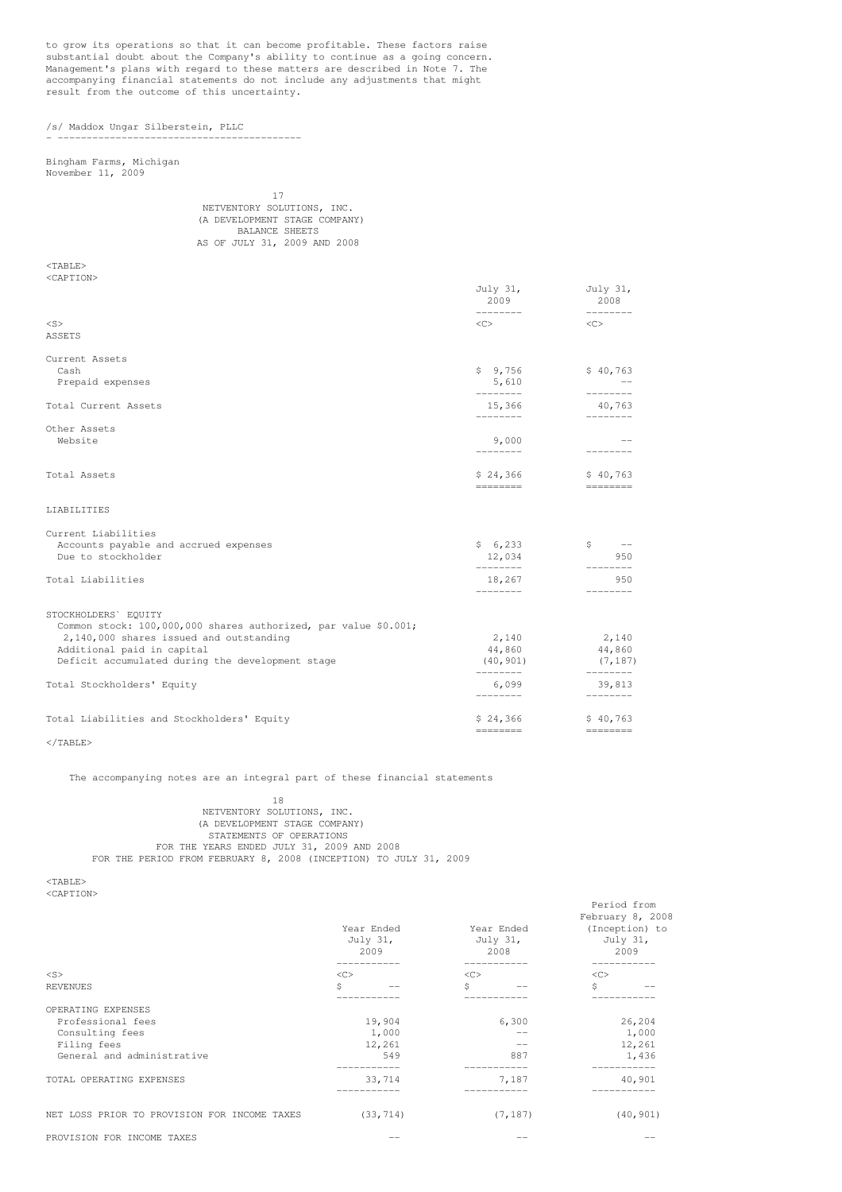to grow its operations so that it can become profitable. These factors raise substantial doubt about the Company's ability to continue as a going concern. Management's plans with regard to these matters are described in Note 7. The accompanying financial statements do not include any adjustments that might result from the outcome of this uncertainty.

## /s/ Maddox Ungar Silberstein, PLLC

- ------------------------------------------

## Bingham Farms, Michigan November 11, 2009

| 17                         |                               |  |                       |  |  |  |  |  |  |
|----------------------------|-------------------------------|--|-----------------------|--|--|--|--|--|--|
| NETVENTORY SOLUTIONS, INC. |                               |  |                       |  |  |  |  |  |  |
|                            | (A DEVELOPMENT STAGE COMPANY) |  |                       |  |  |  |  |  |  |
|                            |                               |  | <b>BALANCE SHEETS</b> |  |  |  |  |  |  |
|                            | AS OF JULY 31, 2009 AND 2008  |  |                       |  |  |  |  |  |  |

<TABLE> <CAPTION>

| NUAE 11UNZ                                                      | July 31,<br>2009                                                                        | July 31,<br>2008<br>--------                   |
|-----------------------------------------------------------------|-----------------------------------------------------------------------------------------|------------------------------------------------|
| $<$ S>                                                          | ---------<br>$\langle$ C>                                                               | $<<$ $>$                                       |
| ASSETS                                                          |                                                                                         |                                                |
| Current Assets                                                  |                                                                                         |                                                |
| Cash                                                            | \$9,756                                                                                 | \$40,763                                       |
| Prepaid expenses                                                | 5,610                                                                                   | and the state of the state of the<br>--------- |
| Total Current Assets                                            | ---------<br>15,366                                                                     | 40,763                                         |
| Other Assets                                                    | ---------                                                                               | $- - - - - - - -$                              |
| Website                                                         | 9,000                                                                                   |                                                |
|                                                                 | $- - - - - - - -$                                                                       | --------                                       |
| Total Assets                                                    | \$24,366                                                                                | \$40,763                                       |
|                                                                 | ========                                                                                | ========                                       |
| LIABILITIES                                                     |                                                                                         |                                                |
| Current Liabilities                                             |                                                                                         |                                                |
| Accounts payable and accrued expenses                           | \$6,233                                                                                 | $S \t -$                                       |
| Due to stockholder                                              | 12,034                                                                                  | 950                                            |
| Total Liabilities                                               | ---------<br>18,267                                                                     | --------<br>950                                |
|                                                                 | ---------                                                                               | --------                                       |
| STOCKHOLDERS' EQUITY                                            |                                                                                         |                                                |
| Common stock: 100,000,000 shares authorized, par value \$0.001; |                                                                                         |                                                |
| 2,140,000 shares issued and outstanding                         | 2,140                                                                                   | 2,140                                          |
| Additional paid in capital                                      | 44,860                                                                                  | 44,860                                         |
| Deficit accumulated during the development stage                | (40, 901)                                                                               | (7, 187)                                       |
| Total Stockholders' Equity                                      | --------<br>6,099                                                                       | _________<br>39,813                            |
|                                                                 | ---------                                                                               |                                                |
|                                                                 | \$24,366                                                                                | \$40,763                                       |
| Total Liabilities and Stockholders' Equity                      | $\qquad \qquad \displaystyle =\qquad \qquad \qquad \qquad \displaystyle =\qquad \qquad$ |                                                |

 $\langle$ /TABLE>

The accompanying notes are an integral part of these financial statements

## 18 NETVENTORY SOLUTIONS, INC. (A DEVELOPMENT STAGE COMPANY) STATEMENTS OF OPERATIONS FOR THE YEARS ENDED JULY 31, 2009 AND 2008 FOR THE PERIOD FROM FEBRUARY 8, 2008 (INCEPTION) TO JULY 31, 2009

<TABLE>

<CAPTION>

|                                                                                                         | Year Ended<br>July 31,<br>2009 |     |    | Year Ended<br>July 31,<br>2008 | Period from<br>February 8, 2008<br>(Inception) to<br>July 31,<br>2009 |                                    |  |
|---------------------------------------------------------------------------------------------------------|--------------------------------|-----|----|--------------------------------|-----------------------------------------------------------------------|------------------------------------|--|
| $<$ S>                                                                                                  | <<                             |     | << |                                | <<                                                                    |                                    |  |
| <b>REVENUES</b>                                                                                         | \$                             |     | S  |                                | Ŝ                                                                     |                                    |  |
| OPERATING EXPENSES<br>Professional fees<br>Consulting fees<br>Filing fees<br>General and administrative | 19,904<br>1,000<br>12,261      | 549 |    | 6,300<br>887                   |                                                                       | 26,204<br>1,000<br>12,261<br>1,436 |  |
| TOTAL OPERATING EXPENSES                                                                                | 33,714                         |     |    | 7,187                          |                                                                       | 40,901                             |  |
| NET LOSS PRIOR TO PROVISION FOR INCOME TAXES                                                            | (33, 714)                      |     |    | (7, 187)                       |                                                                       | (40, 901)                          |  |
| PROVISION FOR INCOME TAXES                                                                              |                                |     |    |                                |                                                                       |                                    |  |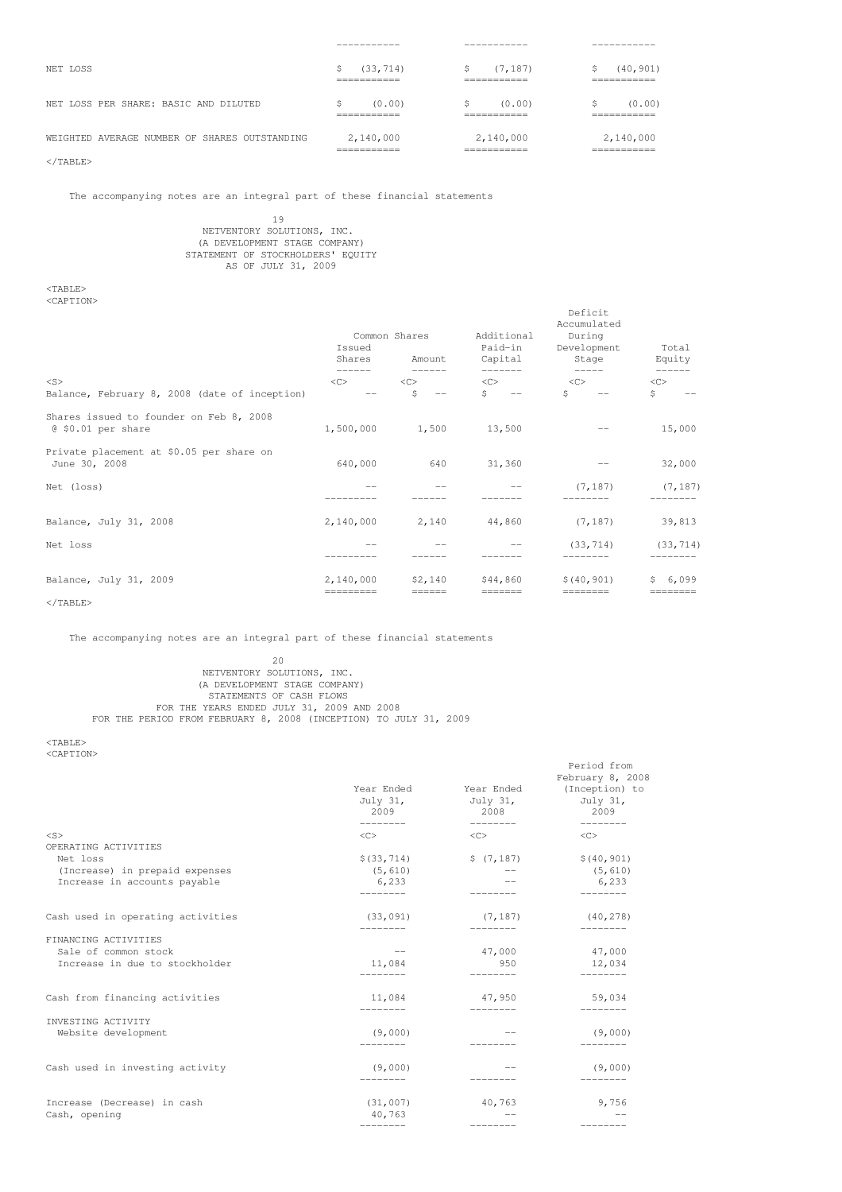|                                               | ___________                             | ___________                             | ___________                                                           |  |  |
|-----------------------------------------------|-----------------------------------------|-----------------------------------------|-----------------------------------------------------------------------|--|--|
| NET LOSS                                      | (33, 714)<br>___________<br>----------- | (7.187)<br>___________<br>-----------   | $\tilde{\phantom{a}}$<br>(40,901)<br>S<br>___________<br>------------ |  |  |
| NET LOSS PER SHARE: BASIC AND DILUTED         | (0.00)<br>S<br>___________<br>_________ | (0.00)<br>___________<br>___________    | S<br>(0.00)<br>___________<br>__________                              |  |  |
| WEIGHTED AVERAGE NUMBER OF SHARES OUTSTANDING | 2,140,000<br>___________<br>----------- | 2,140,000<br>___________<br>----------- | 2,140,000<br>___________<br>------------                              |  |  |

 $\langle$ TABLE>

The accompanying notes are an integral part of these financial statements

19 NETVENTORY SOLUTIONS, INC. (A DEVELOPMENT STAGE COMPANY) STATEMENT OF STOCKHOLDERS' EQUITY AS OF JULY 31, 2009

<TABLE> <CAPTION>

|                                                               | Issued<br>Shares                 | Common Shares<br>Amount | Additional<br>Paid-in<br>Capital | Accumulated<br>During<br>Development<br>Stage | Total<br>Equity     |
|---------------------------------------------------------------|----------------------------------|-------------------------|----------------------------------|-----------------------------------------------|---------------------|
| $<$ S>                                                        | -------<br>$<<$ $C$ $>$          | $------$<br><<          | $-- - - - - -$<br>$<<$ $C$ $>$   | $\frac{1}{2}$<br><<                           | -------<br><<       |
| Balance, February 8, 2008 (date of inception)                 | $\qquad \qquad -$                | Ŝ<br>$-\,-$             | S<br>$-$                         | S.<br>$--$                                    | Ŝ.                  |
| Shares issued to founder on Feb 8, 2008<br>@ \$0.01 per share | 1,500,000                        | 1,500                   | 13,500                           |                                               | 15,000              |
| Private placement at \$0.05 per share on<br>June 30, 2008     | 640,000                          | 640                     | 31,360                           |                                               | 32,000              |
| Net (loss)                                                    |                                  |                         |                                  | (7, 187)                                      | (7, 187)            |
| Balance, July 31, 2008                                        | 2,140,000                        | 2,140                   | 44,860                           | (7, 187)                                      | 39,813              |
| Net loss                                                      |                                  |                         |                                  | (33, 714)                                     | (33, 714)           |
| Balance, July 31, 2009                                        | 2,140,000<br>$=$ = = = = = = = = | \$2,140<br>======       | \$44,860<br>-------              | \$(40, 901)<br>--------                       | \$6,099<br>======== |

Deficit

 $\langle$ /TABLE $>$ 

The accompanying notes are an integral part of these financial statements

20 NETVENTORY SOLUTIONS, INC. (A DEVELOPMENT STAGE COMPANY) STATEMENTS OF CASH FLOWS FOR THE YEARS ENDED JULY 31, 2009 AND 2008 FOR THE PERIOD FROM FEBRUARY 8, 2008 (INCEPTION) TO JULY 31, 2009

<CAPTION>

|                                   | Year Ended<br>July 31,<br>2009 | Year Ended<br>July 31,<br>2008 | Period from<br>February 8, 2008<br>(Inception) to<br>July 31,<br>2009 |
|-----------------------------------|--------------------------------|--------------------------------|-----------------------------------------------------------------------|
| $<$ S>                            | ---------<br><<>               | ---------<br>$<<$ $>$          | ---------<br><<                                                       |
| OPERATING ACTIVITIES              |                                |                                |                                                                       |
| Net loss                          | \$(33, 714)                    | \$(7, 187)                     | \$(40, 901)                                                           |
| (Increase) in prepaid expenses    | (5, 610)                       | $- -$                          | (5, 610)                                                              |
| Increase in accounts payable      | 6,233                          |                                | 6,233                                                                 |
|                                   |                                |                                |                                                                       |
| Cash used in operating activities | (33, 091)<br>--------          | (7, 187)<br>---------          | (40, 278)<br>---------                                                |
| FINANCING ACTIVITIES              |                                |                                |                                                                       |
| Sale of common stock              | $- -$                          | 47,000                         | 47,000                                                                |
| Increase in due to stockholder    | 11,084                         | 950                            | 12,034                                                                |
|                                   | --------                       | ---------                      | ---------                                                             |
| Cash from financing activities    | 11,084                         | 47,950                         | 59,034                                                                |
|                                   |                                |                                |                                                                       |
| INVESTING ACTIVITY                |                                |                                |                                                                       |
| Website development               | (9,000)                        |                                | (9,000)                                                               |
|                                   | ---------                      | $-- - - - - - -$               | $- - - - - - - -$                                                     |
| Cash used in investing activity   | (9,000)                        |                                | (9,000)                                                               |
|                                   |                                |                                |                                                                       |
| Increase (Decrease) in cash       | (31,007)                       | 40,763                         | 9,756                                                                 |
| Cash, opening                     | 40,763                         |                                |                                                                       |
|                                   | ---------                      | ---------                      | ---------                                                             |

<sup>&</sup>lt;TABLE>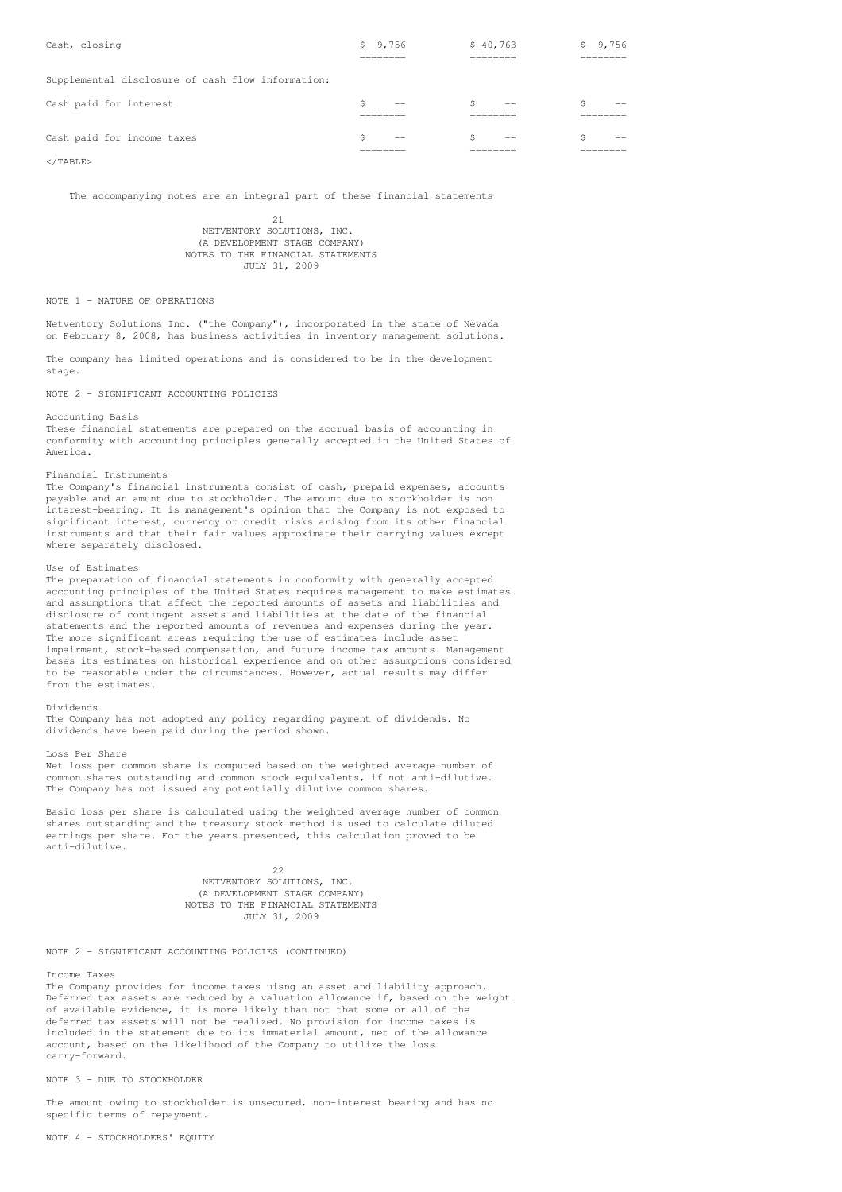|   |    |                                                                                   |       |                                                                                | 9,756                        |
|---|----|-----------------------------------------------------------------------------------|-------|--------------------------------------------------------------------------------|------------------------------|
|   |    |                                                                                   |       |                                                                                | ________<br>--------         |
|   |    |                                                                                   |       |                                                                                |                              |
| S | -- | S                                                                                 | $- -$ | Š.                                                                             | $-$                          |
|   |    |                                                                                   |       |                                                                                | _________<br>________        |
| S | -- | S                                                                                 | $- -$ | S                                                                              | $-$<br>--------<br>_________ |
|   |    | \$9,756<br>________<br>--------<br>_________<br>________<br>--------<br>_________ |       | \$40,763<br>--------<br>--------<br>_______<br>________<br>_______<br>________ |                              |

# $\langle$ /TABLE>

The accompanying notes are an integral part of these financial statements

 $21$ NETVENTORY SOLUTIONS, INC. (A DEVELOPMENT STAGE COMPANY) NOTES TO THE FINANCIAL STATEMENTS JULY 31, 2009

NOTE 1 - NATURE OF OPERATIONS

Netventory Solutions Inc. ("the Company"), incorporated in the state of Nevada on February 8, 2008, has business activities in inventory management solutions.

The company has limited operations and is considered to be in the development stage.

NOTE 2 - SIGNIFICANT ACCOUNTING POLICIES

### Accounting Basis

These financial statements are prepared on the accrual basis of accounting in conformity with accounting principles generally accepted in the United States of America.

## Financial Instruments

The Company's financial instruments consist of cash, prepaid expenses, accounts payable and an amunt due to stockholder. The amount due to stockholder is non interest-bearing. It is management's opinion that the Company is not exposed to significant interest, currency or credit risks arising from its other financial instruments and that their fair values approximate their carrying values except where separately disclosed.

### Use of Estimates

The preparation of financial statements in conformity with generally accepted accounting principles of the United States requires management to make estimates and assumptions that affect the reported amounts of assets and liabilities and disclosure of contingent assets and liabilities at the date of the financial statements and the reported amounts of revenues and expenses during the year. The more significant areas requiring the use of estimates include asset impairment, stock-based compensation, and future income tax amounts. Management bases its estimates on historical experience and on other assumptions considered to be reasonable under the circumstances. However, actual results may differ from the estimates.

## Dividends

The Company has not adopted any policy regarding payment of dividends. No dividends have been paid during the period shown.

## Loss Per Share

Net loss per common share is computed based on the weighted average number of common shares outstanding and common stock equivalents, if not anti-dilutive. The Company has not issued any potentially dilutive common shares.

Basic loss per share is calculated using the weighted average number of common shares outstanding and the treasury stock method is used to calculate diluted earnings per share. For the years presented, this calculation proved to be anti-dilutive.

> 22 NETVENTORY SOLUTIONS, INC. (A DEVELOPMENT STAGE COMPANY) NOTES TO THE FINANCIAL STATEMENTS JULY 31, 2009

# NOTE 2 - SIGNIFICANT ACCOUNTING POLICIES (CONTINUED)

## Income Taxes

The Company provides for income taxes uisng an asset and liability approach. Deferred tax assets are reduced by a valuation allowance if, based on the weight of available evidence, it is more likely than not that some or all of the deferred tax assets will not be realized. No provision for income taxes is included in the statement due to its immaterial amount, net of the allowance account, based on the likelihood of the Company to utilize the loss carry-forward.

NOTE 3 - DUE TO STOCKHOLDER

The amount owing to stockholder is unsecured, non-interest bearing and has no specific terms of repayment.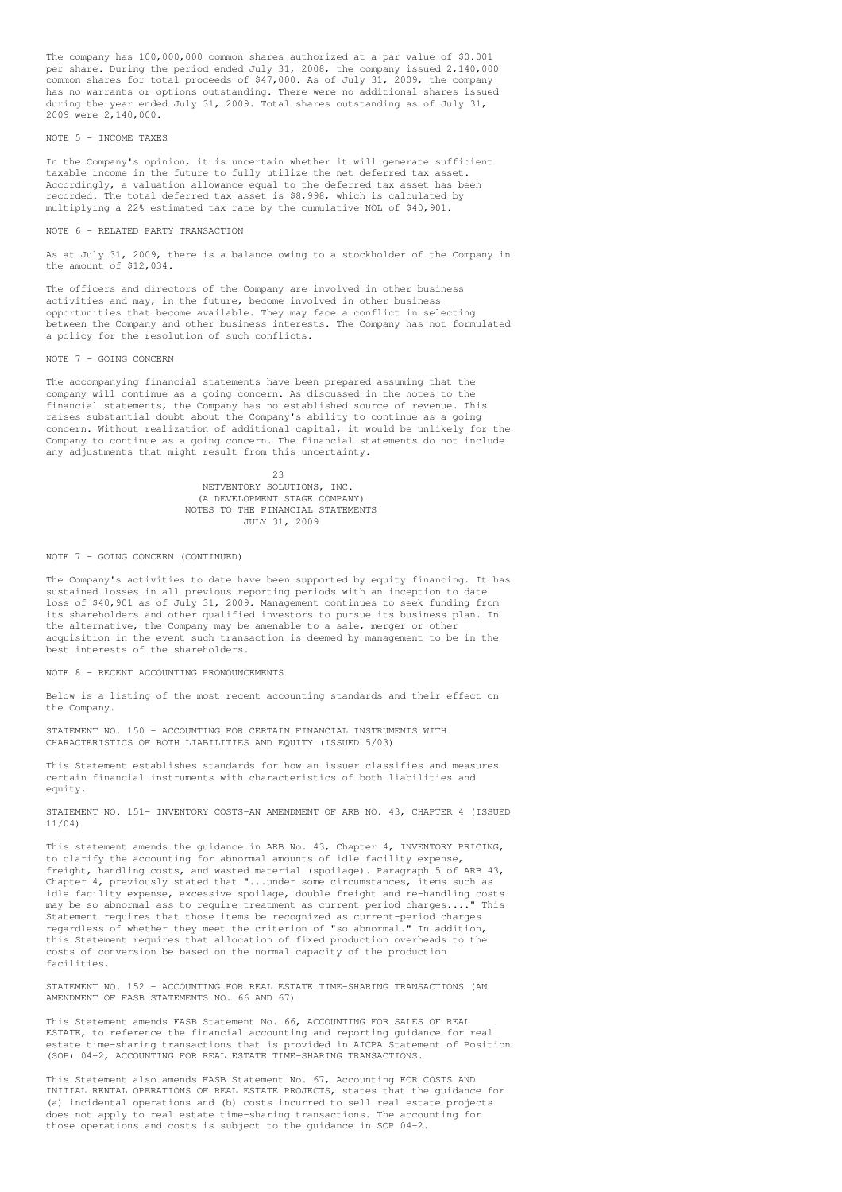The company has 100,000,000 common shares authorized at a par value of \$0.001 per share. During the period ended July 31, 2008, the company issued 2,140,000 common shares for total proceeds of \$47,000. As of July 31, 2009, the company has no warrants or options outstanding. There were no additional shares issued during the year ended July 31, 2009. Total shares outstanding as of July 31, 2009 were 2,140,000.

NOTE 5 - INCOME TAXES

In the Company's opinion, it is uncertain whether it will generate sufficient taxable income in the future to fully utilize the net deferred tax asset. Accordingly, a valuation allowance equal to the deferred tax asset has been recorded. The total deferred tax asset is \$8,998, which is calculated by multiplying a 22% estimated tax rate by the cumulative NOL of \$40,901.

NOTE 6 - RELATED PARTY TRANSACTION

As at July 31, 2009, there is a balance owing to a stockholder of the Company in the amount of \$12,034.

The officers and directors of the Company are involved in other business activities and may, in the future, become involved in other business opportunities that become available. They may face a conflict in selecting between the Company and other business interests. The Company has not formulated a policy for the resolution of such conflicts.

### NOTE 7 - GOING CONCERN

The accompanying financial statements have been prepared assuming that the company will continue as a going concern. As discussed in the notes to the financial statements, the Company has no established source of revenue. This raises substantial doubt about the Company's ability to continue as a going concern. Without realization of additional capital, it would be unlikely for the Company to continue as a going concern. The financial statements do not include any adjustments that might result from this uncertainty.

> $23$ NETVENTORY SOLUTIONS, INC. (A DEVELOPMENT STAGE COMPANY) NOTES TO THE FINANCIAL STATEMENTS JULY 31, 2009

NOTE 7 - GOING CONCERN (CONTINUED)

The Company's activities to date have been supported by equity financing. It has sustained losses in all previous reporting periods with an inception to date loss of \$40,901 as of July 31, 2009. Management continues to seek funding from its shareholders and other qualified investors to pursue its business plan. In the alternative, the Company may be amenable to a sale, merger or other acquisition in the event such transaction is deemed by management to be in the best interests of the shareholders.

NOTE 8 - RECENT ACCOUNTING PRONOUNCEMENTS

Below is a listing of the most recent accounting standards and their effect on the Company.

STATEMENT NO. 150 - ACCOUNTING FOR CERTAIN FINANCIAL INSTRUMENTS WITH CHARACTERISTICS OF BOTH LIABILITIES AND EQUITY (ISSUED 5/03)

This Statement establishes standards for how an issuer classifies and measures certain financial instruments with characteristics of both liabilities and equity.

STATEMENT NO. 151- INVENTORY COSTS-AN AMENDMENT OF ARB NO. 43, CHAPTER 4 (ISSUED 11/04)

This statement amends the guidance in ARB No. 43, Chapter 4, INVENTORY PRICING, to clarify the accounting for abnormal amounts of idle facility expense, freight, handling costs, and wasted material (spoilage). Paragraph 5 of ARB 43, Chapter 4, previously stated that "...under some circumstances, items such as idle facility expense, excessive spoilage, double freight and re-handling costs<br>may be so abnormal ass to require treatment as current period charges...." This may be so abnormal ass to require treatment as current period charges.... Statement requires that those items be recognized as current-period charges regardless of whether they meet the criterion of "so abnormal." In addition, this Statement requires that allocation of fixed production overheads to the costs of conversion be based on the normal capacity of the production facilities.

STATEMENT NO. 152 - ACCOUNTING FOR REAL ESTATE TIME-SHARING TRANSACTIONS (AN AMENDMENT OF FASB STATEMENTS NO. 66 AND 67)

This Statement amends FASB Statement No. 66, ACCOUNTING FOR SALES OF REAL ESTATE, to reference the financial accounting and reporting guidance for real estate time-sharing transactions that is provided in AICPA Statement of Position (SOP) 04-2, ACCOUNTING FOR REAL ESTATE TIME-SHARING TRANSACTIONS.

This Statement also amends FASB Statement No. 67, Accounting FOR COSTS AND INITIAL RENTAL OPERATIONS OF REAL ESTATE PROJECTS, states that the guidance for (a) incidental operations and (b) costs incurred to sell real estate projects does not apply to real estate time-sharing transactions. The accounting for those operations and costs is subject to the guidance in SOP 04-2.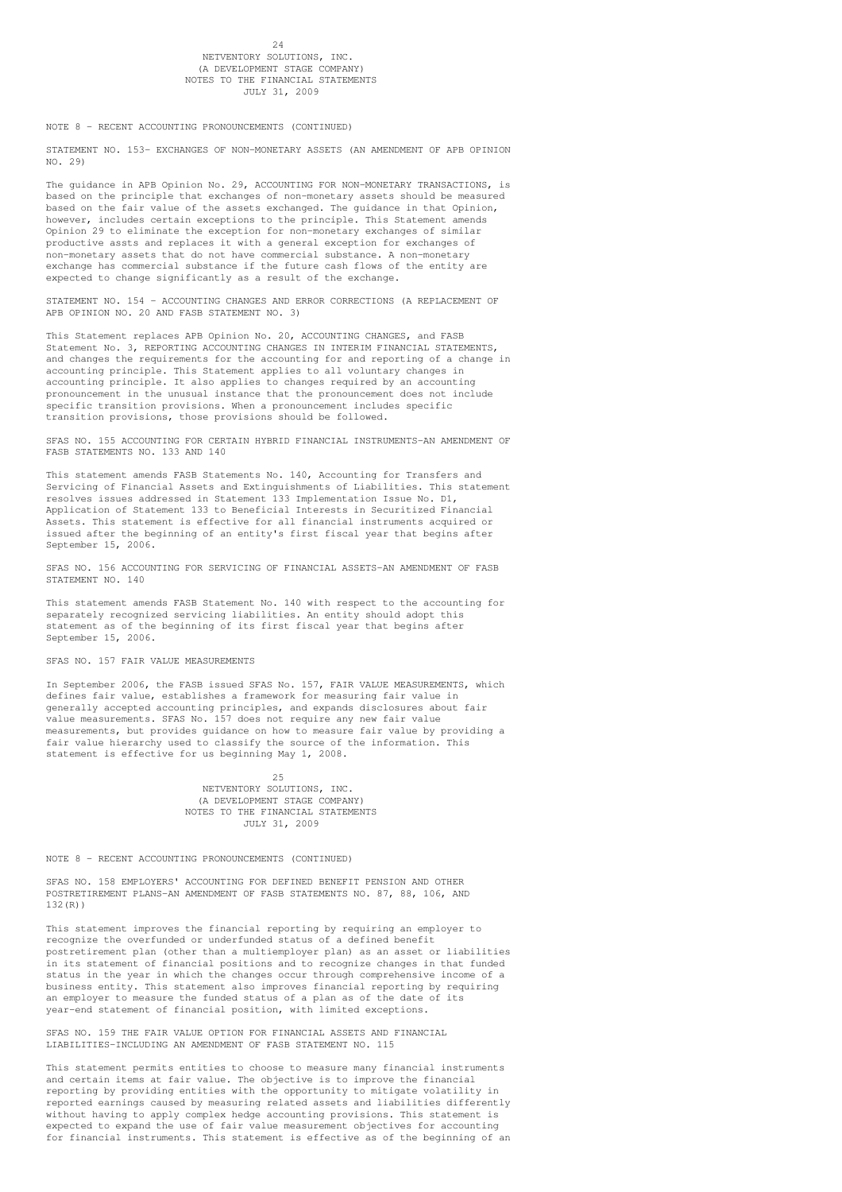## $24$

## NETVENTORY SOLUTIONS, INC. (A DEVELOPMENT STAGE COMPANY) NOTES TO THE FINANCIAL STATEMENTS JULY 31, 2009

#### NOTE 8 - RECENT ACCOUNTING PRONOUNCEMENTS (CONTINUED)

STATEMENT NO. 153- EXCHANGES OF NON-MONETARY ASSETS (AN AMENDMENT OF APB OPINION NO. 29)

The guidance in APB Opinion No. 29, ACCOUNTING FOR NON-MONETARY TRANSACTIONS, is based on the principle that exchanges of non-monetary assets should be measured based on the fair value of the assets exchanged. The guidance in that Opinion, however, includes certain exceptions to the principle. This Statement amends Opinion 29 to eliminate the exception for non-monetary exchanges of similar productive assts and replaces it with a general exception for exchanges of non-monetary assets that do not have commercial substance. A non-monetary exchange has commercial substance if the future cash flows of the entity are expected to change significantly as a result of the exchange.

STATEMENT NO. 154 - ACCOUNTING CHANGES AND ERROR CORRECTIONS (A REPLACEMENT OF APB OPINION NO. 20 AND FASB STATEMENT NO. 3)

This Statement replaces APB Opinion No. 20, ACCOUNTING CHANGES, and FASB Statement No. 3, REPORTING ACCOUNTING CHANGES IN INTERIM FINANCIAL STATEMENTS, and changes the requirements for the accounting for and reporting of a change in accounting principle. This Statement applies to all voluntary changes in accounting principle. It also applies to changes required by an accounting pronouncement in the unusual instance that the pronouncement does not include specific transition provisions. When a pronouncement includes specific transition provisions, those provisions should be followed.

SFAS NO. 155 ACCOUNTING FOR CERTAIN HYBRID FINANCIAL INSTRUMENTS-AN AMENDMENT OF FASB STATEMENTS NO. 133 AND 140

This statement amends FASB Statements No. 140, Accounting for Transfers and Servicing of Financial Assets and Extinguishments of Liabilities. This statement resolves issues addressed in Statement 133 Implementation Issue No. D1, Application of Statement 133 to Beneficial Interests in Securitized Financial Assets. This statement is effective for all financial instruments acquired or issued after the beginning of an entity's first fiscal year that begins after September 15, 2006.

SFAS NO. 156 ACCOUNTING FOR SERVICING OF FINANCIAL ASSETS-AN AMENDMENT OF FASB STATEMENT NO. 140

This statement amends FASB Statement No. 140 with respect to the accounting for separately recognized servicing liabilities. An entity should adopt this statement as of the beginning of its first fiscal year that begins after September 15, 2006.

# SFAS NO. 157 FAIR VALUE MEASUREMENTS

In September 2006, the FASB issued SFAS No. 157, FAIR VALUE MEASUREMENTS, which defines fair value, establishes a framework for measuring fair value in generally accepted accounting principles, and expands disclosures about fair value measurements. SFAS No. 157 does not require any new fair value measurements, but provides guidance on how to measure fair value by providing a fair value hierarchy used to classify the source of the information. This statement is effective for us beginning May 1, 2008.

> $25$ NETVENTORY SOLUTIONS, INC. (A DEVELOPMENT STAGE COMPANY) NOTES TO THE FINANCIAL STATEMENTS JULY 31, 2009

NOTE 8 - RECENT ACCOUNTING PRONOUNCEMENTS (CONTINUED)

SFAS NO. 158 EMPLOYERS' ACCOUNTING FOR DEFINED BENEFIT PENSION AND OTHER POSTRETIREMENT PLANS-AN AMENDMENT OF FASB STATEMENTS NO. 87, 88, 106, AND 132(R))

This statement improves the financial reporting by requiring an employer to recognize the overfunded or underfunded status of a defined benefit postretirement plan (other than a multiemployer plan) as an asset or liabilities in its statement of financial positions and to recognize changes in that funded status in the year in which the changes occur through comprehensive income of a business entity. This statement also improves financial reporting by requiring an employer to measure the funded status of a plan as of the date of its year-end statement of financial position, with limited exceptions.

SFAS NO. 159 THE FAIR VALUE OPTION FOR FINANCIAL ASSETS AND FINANCIAL LIABILITIES-INCLUDING AN AMENDMENT OF FASB STATEMENT NO. 115

This statement permits entities to choose to measure many financial instruments and certain items at fair value. The objective is to improve the financial reporting by providing entities with the opportunity to mitigate volatility in reported earnings caused by measuring related assets and liabilities differently without having to apply complex hedge accounting provisions. This statement is expected to expand the use of fair value measurement objectives for accounting for financial instruments. This statement is effective as of the beginning of an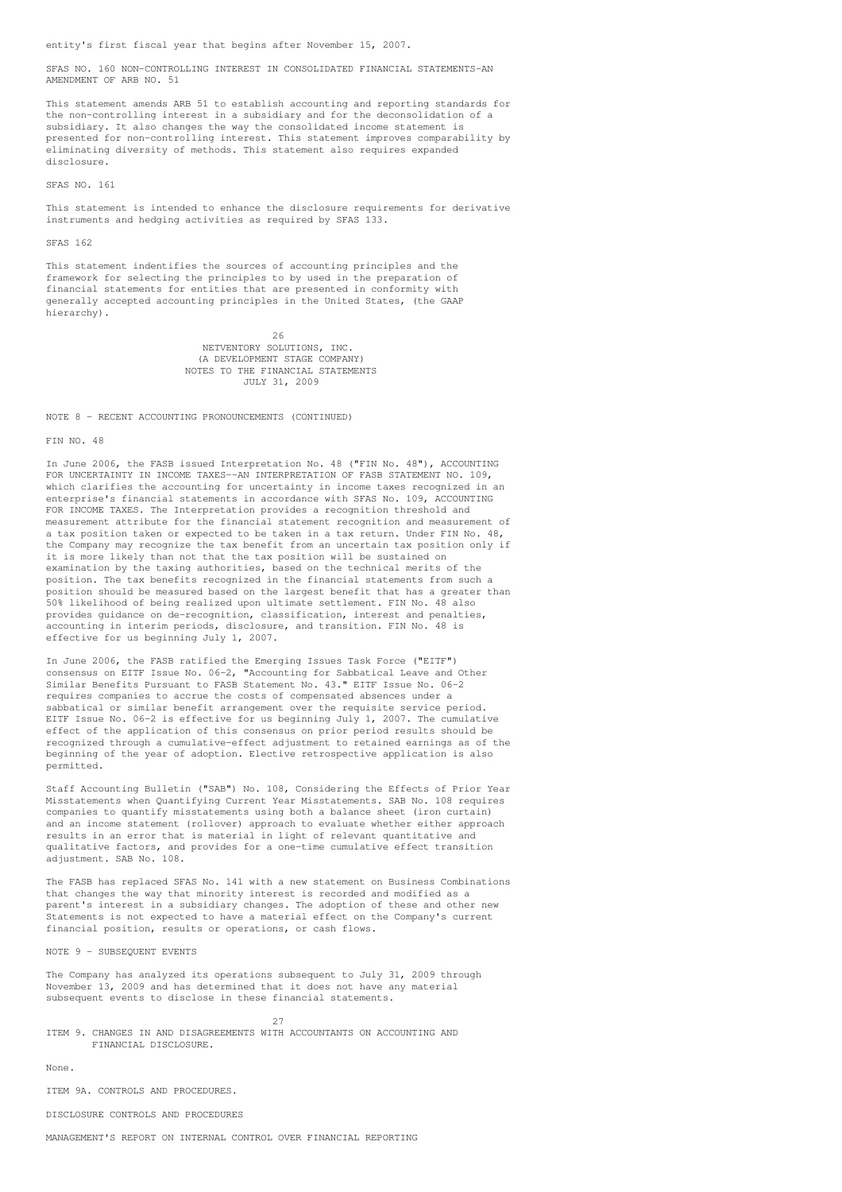entity's first fiscal year that begins after November 15, 2007.

SFAS NO. 160 NON-CONTROLLING INTEREST IN CONSOLIDATED FINANCIAL STATEMENTS-AN AMENDMENT OF ARB NO. 51

This statement amends ARB 51 to establish accounting and reporting standards for the non-controlling interest in a subsidiary and for the deconsolidation of a subsidiary. It also changes the way the consolidated income statement is presented for non-controlling interest. This statement improves comparability by eliminating diversity of methods. This statement also requires expanded disclosure.

SFAS NO. 161

This statement is intended to enhance the disclosure requirements for derivative instruments and hedging activities as required by SFAS 133.

SFAS 162

This statement indentifies the sources of accounting principles and the framework for selecting the principles to by used in the preparation of financial statements for entities that are presented in conformity with generally accepted accounting principles in the United States, (the GAAP hierarchy).

> 26 NETVENTORY SOLUTIONS, INC. (A DEVELOPMENT STAGE COMPANY) NOTES TO THE FINANCIAL STATEMENTS JULY 31, 2009

NOTE 8 - RECENT ACCOUNTING PRONOUNCEMENTS (CONTINUED)

FIN NO. 48

In June 2006, the FASB issued Interpretation No. 48 ("FIN No. 48"), ACCOUNTING FOR UNCERTAINTY IN INCOME TAXES--AN INTERPRETATION OF FASB STATEMENT NO. 109, which clarifies the accounting for uncertainty in income taxes recognized in an enterprise's financial statements in accordance with SFAS No. 109, ACCOUNTING FOR INCOME TAXES. The Interpretation provides a recognition threshold and measurement attribute for the financial statement recognition and measurement of a tax position taken or expected to be taken in a tax return. Under FIN No. 48, the Company may recognize the tax benefit from an uncertain tax position only if it is more likely than not that the tax position will be sustained on examination by the taxing authorities, based on the technical merits of the position. The tax benefits recognized in the financial statements from such a position should be measured based on the largest benefit that has a greater than 50% likelihood of being realized upon ultimate settlement. FIN No. 48 also provides guidance on de-recognition, classification, interest and penalties, accounting in interim periods, disclosure, and transition. FIN No. 48 is effective for us beginning July 1, 2007.

In June 2006, the FASB ratified the Emerging Issues Task Force ("EITF") consensus on EITF Issue No. 06-2, "Accounting for Sabbatical Leave and Other Similar Benefits Pursuant to FASB Statement No. 43." EITF Issue No. 06-2 requires companies to accrue the costs of compensated absences under a sabbatical or similar benefit arrangement over the requisite service period. EITF Issue No. 06-2 is effective for us beginning July 1, 2007. The cumulative effect of the application of this consensus on prior period results should be recognized through a cumulative-effect adjustment to retained earnings as of the beginning of the year of adoption. Elective retrospective application is also permitted.

Staff Accounting Bulletin ("SAB") No. 108, Considering the Effects of Prior Year Misstatements when Quantifying Current Year Misstatements. SAB No. 108 requires companies to quantify misstatements using both a balance sheet (iron curtain) and an income statement (rollover) approach to evaluate whether either approach results in an error that is material in light of relevant quantitative and qualitative factors, and provides for a one-time cumulative effect transition adjustment. SAB No. 108.

The FASB has replaced SFAS No. 141 with a new statement on Business Combinations that changes the way that minority interest is recorded and modified as a parent's interest in a subsidiary changes. The adoption of these and other new Statements is not expected to have a material effect on the Company's current financial position, results or operations, or cash flows.

NOTE 9 - SUBSEQUENT EVENTS

The Company has analyzed its operations subsequent to July 31, 2009 through November 13, 2009 and has determined that it does not have any material subsequent events to disclose in these financial statements.

 $27$ 

ITEM 9. CHANGES IN AND DISAGREEMENTS WITH ACCOUNTANTS ON ACCOUNTING AND FINANCIAL DISCLOSURE.

None.

ITEM 9A. CONTROLS AND PROCEDURES.

DISCLOSURE CONTROLS AND PROCEDURES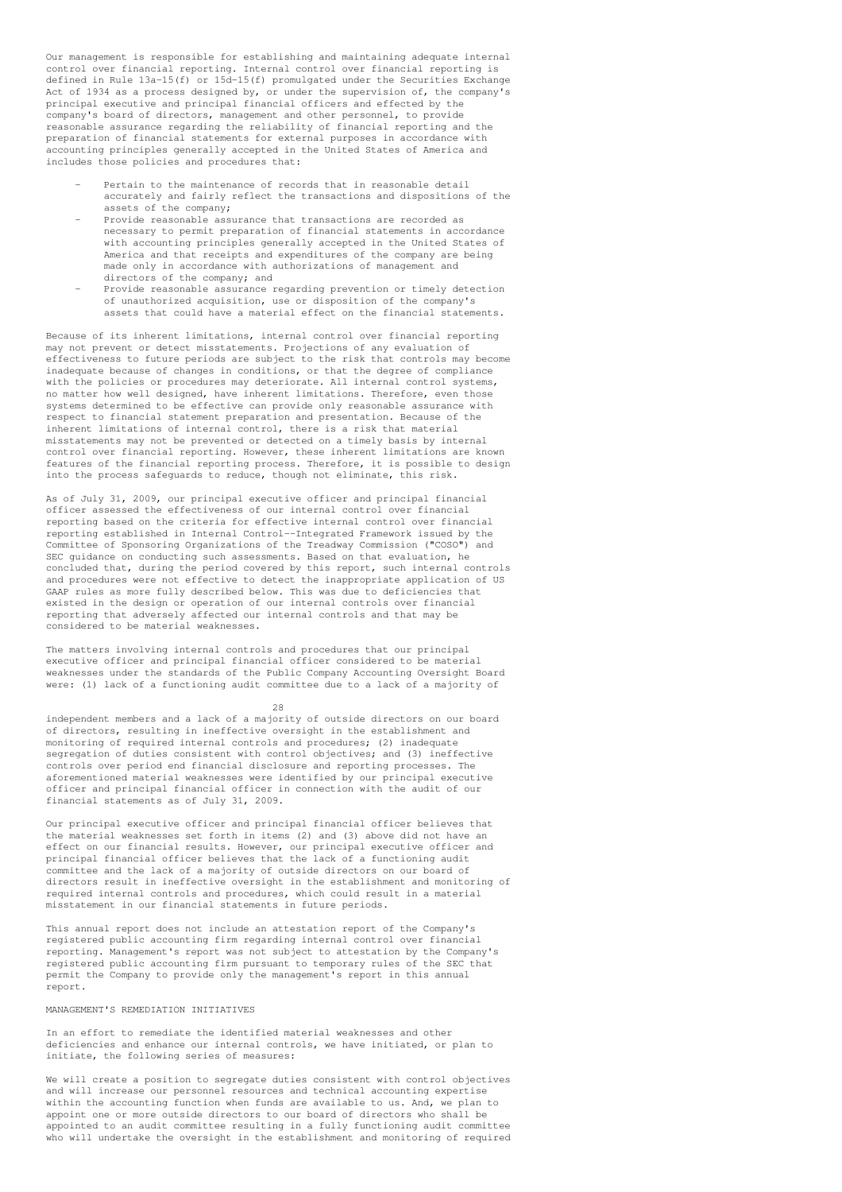Our management is responsible for establishing and maintaining adequate internal control over financial reporting. Internal control over financial reporting is defined in Rule  $13a-15(f)$  or  $15d-15(f)$  promulgated under the Securities Exchange Act of 1934 as a process designed by, or under the supervision of, the company's principal executive and principal financial officers and effected by the company's board of directors, management and other personnel, to provide reasonable assurance regarding the reliability of financial reporting and the preparation of financial statements for external purposes in accordance with accounting principles generally accepted in the United States of America and includes those policies and procedures that:

- Pertain to the maintenance of records that in reasonable detail accurately and fairly reflect the transactions and dispositions of the assets of the company;
- Provide reasonable assurance that transactions are recorded as necessary to permit preparation of financial statements in accordance with accounting principles generally accepted in the United States of America and that receipts and expenditures of the company are being made only in accordance with authorizations of management and directors of the company; and
- Provide reasonable assurance regarding prevention or timely detection of unauthorized acquisition, use or disposition of the company's assets that could have a material effect on the financial statements.

Because of its inherent limitations, internal control over financial reporting may not prevent or detect misstatements. Projections of any evaluation of effectiveness to future periods are subject to the risk that controls may become inadequate because of changes in conditions, or that the degree of compliance with the policies or procedures may deteriorate. All internal control systems, no matter how well designed, have inherent limitations. Therefore, even those systems determined to be effective can provide only reasonable assurance with respect to financial statement preparation and presentation. Because of the inherent limitations of internal control, there is a risk that material misstatements may not be prevented or detected on a timely basis by internal control over financial reporting. However, these inherent limitations are known features of the financial reporting process. Therefore, it is possible to design into the process safeguards to reduce, though not eliminate, this risk.

As of July 31, 2009, our principal executive officer and principal financial officer assessed the effectiveness of our internal control over financial reporting based on the criteria for effective internal control over financial reporting established in Internal Control--Integrated Framework issued by the Committee of Sponsoring Organizations of the Treadway Commission ("COSO") and SEC guidance on conducting such assessments. Based on that evaluation, he concluded that, during the period covered by this report, such internal controls and procedures were not effective to detect the inappropriate application of US GAAP rules as more fully described below. This was due to deficiencies that existed in the design or operation of our internal controls over financial reporting that adversely affected our internal controls and that may be considered to be material weaknesses.

The matters involving internal controls and procedures that our principal executive officer and principal financial officer considered to be material weaknesses under the standards of the Public Company Accounting Oversight Board were: (1) lack of a functioning audit committee due to a lack of a majority of

28

independent members and a lack of a majority of outside directors on our board of directors, resulting in ineffective oversight in the establishment and monitoring of required internal controls and procedures; (2) inadequate segregation of duties consistent with control objectives; and (3) ineffective controls over period end financial disclosure and reporting processes. The aforementioned material weaknesses were identified by our principal executive officer and principal financial officer in connection with the audit of our financial statements as of July 31, 2009.

Our principal executive officer and principal financial officer believes that the material weaknesses set forth in items (2) and (3) above did not have an effect on our financial results. However, our principal executive officer and principal financial officer believes that the lack of a functioning audit committee and the lack of a majority of outside directors on our board of directors result in ineffective oversight in the establishment and monitoring of required internal controls and procedures, which could result in a material misstatement in our financial statements in future periods.

This annual report does not include an attestation report of the Company's registered public accounting firm regarding internal control over financial reporting. Management's report was not subject to attestation by the Company's registered public accounting firm pursuant to temporary rules of the SEC that permit the Company to provide only the management's report in this annual report.

# MANAGEMENT'S REMEDIATION INITIATIVES

In an effort to remediate the identified material weaknesses and other deficiencies and enhance our internal controls, we have initiated, or plan to initiate, the following series of measures:

We will create a position to segregate duties consistent with control objectives and will increase our personnel resources and technical accounting expertise within the accounting function when funds are available to us. And, we plan to appoint one or more outside directors to our board of directors who shall be appointed to an audit committee resulting in a fully functioning audit committee who will undertake the oversight in the establishment and monitoring of required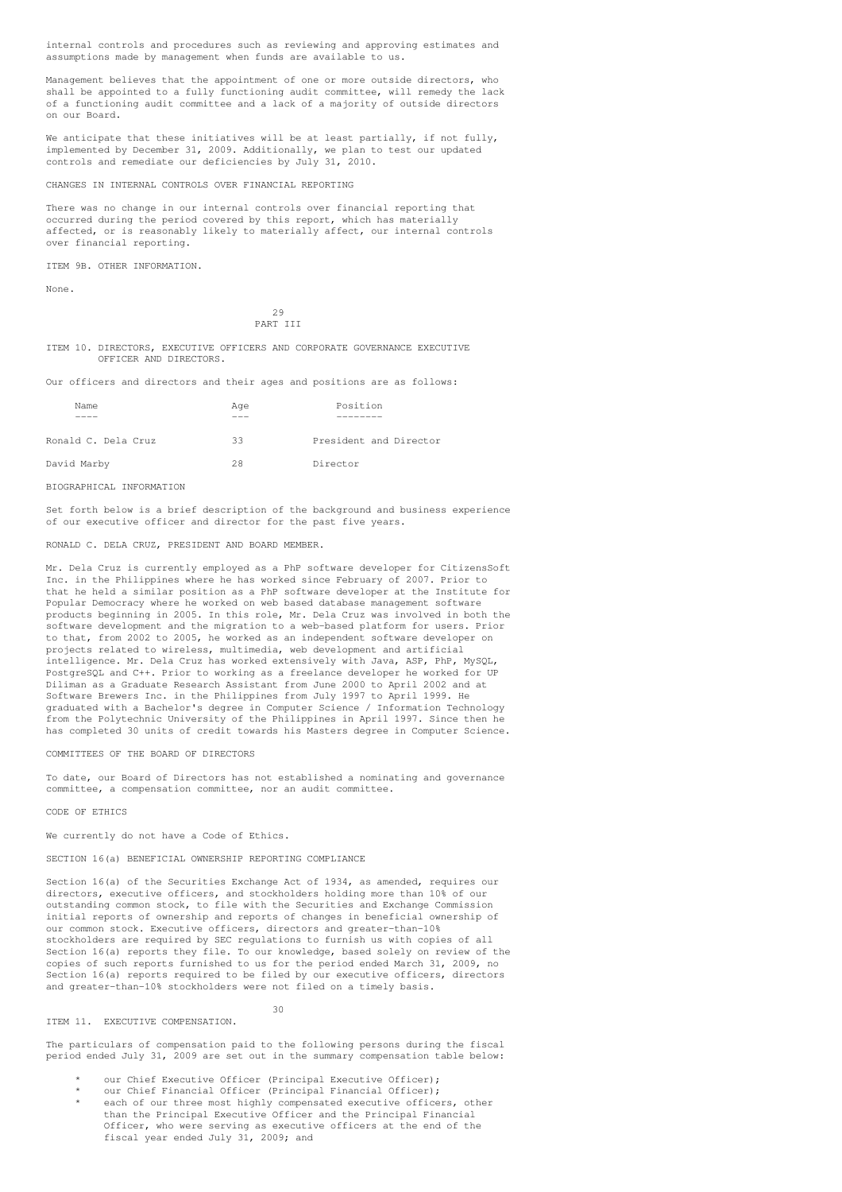internal controls and procedures such as reviewing and approving estimates and assumptions made by management when funds are available to us.

Management believes that the appointment of one or more outside directors, who shall be appointed to a fully functioning audit committee, will remedy the lack of a functioning audit committee and a lack of a majority of outside directors on our Board.

We anticipate that these initiatives will be at least partially, if not fully, implemented by December 31, 2009. Additionally, we plan to test our updated controls and remediate our deficiencies by July 31, 2010.

CHANGES IN INTERNAL CONTROLS OVER FINANCIAL REPORTING

There was no change in our internal controls over financial reporting that occurred during the period covered by this report, which has materially affected, or is reasonably likely to materially affect, our internal controls over financial reporting.

ITEM 9B. OTHER INFORMATION.

None.

 $29$ PART III

## ITEM 10. DIRECTORS, EXECUTIVE OFFICERS AND CORPORATE GOVERNANCE EXECUTIVE OFFICER AND DIRECTORS.

Our officers and directors and their ages and positions are as follows:

| Name                | Age | Position               |  |  |  |
|---------------------|-----|------------------------|--|--|--|
|                     |     |                        |  |  |  |
| Ronald C. Dela Cruz | 33  | President and Director |  |  |  |
| David Marby         | 28  | Director               |  |  |  |

## BIOGRAPHICAL INFORMATION

Set forth below is a brief description of the background and business experience of our executive officer and director for the past five years.

## RONALD C. DELA CRUZ, PRESIDENT AND BOARD MEMBER.

Mr. Dela Cruz is currently employed as a PhP software developer for CitizensSoft Inc. in the Philippines where he has worked since February of 2007. Prior to that he held a similar position as a PhP software developer at the Institute for Popular Democracy where he worked on web based database management software products beginning in 2005. In this role, Mr. Dela Cruz was involved in both the software development and the migration to a web-based platform for users. Prior to that, from 2002 to 2005, he worked as an independent software developer on projects related to wireless, multimedia, web development and artificial intelligence. Mr. Dela Cruz has worked extensively with Java, ASP, PhP, MySQL, PostgreSQL and C++. Prior to working as a freelance developer he worked for UP Diliman as a Graduate Research Assistant from June 2000 to April 2002 and at Software Brewers Inc. in the Philippines from July 1997 to April 1999. He graduated with a Bachelor's degree in Computer Science / Information Technology from the Polytechnic University of the Philippines in April 1997. Since then he has completed 30 units of credit towards his Masters degree in Computer Science.

### COMMITTEES OF THE BOARD OF DIRECTORS

ITEM 11. EXECUTIVE COMPENSATION.

To date, our Board of Directors has not established a nominating and governance committee, a compensation committee, nor an audit committee.

CODE OF ETHICS

We currently do not have a Code of Ethics.

## SECTION 16(a) BENEFICIAL OWNERSHIP REPORTING COMPLIANCE

Section 16(a) of the Securities Exchange Act of 1934, as amended, requires our directors, executive officers, and stockholders holding more than 10% of our outstanding common stock, to file with the Securities and Exchange Commission initial reports of ownership and reports of changes in beneficial ownership of our common stock. Executive officers, directors and greater-than-10% stockholders are required by SEC regulations to furnish us with copies of all Section 16(a) reports they file. To our knowledge, based solely on review of the copies of such reports furnished to us for the period ended March 31, 2009, no Section 16(a) reports required to be filed by our executive officers, directors and greater-than-10% stockholders were not filed on a timely basis.

#### 30

The particulars of compensation paid to the following persons during the fiscal period ended July 31, 2009 are set out in the summary compensation table below:

- \* our Chief Executive Officer (Principal Executive Officer);
- our Chief Financial Officer (Principal Financial Officer);
- each of our three most highly compensated executive officers, other than the Principal Executive Officer and the Principal Financial Officer, who were serving as executive officers at the end of the fiscal year ended July 31, 2009; and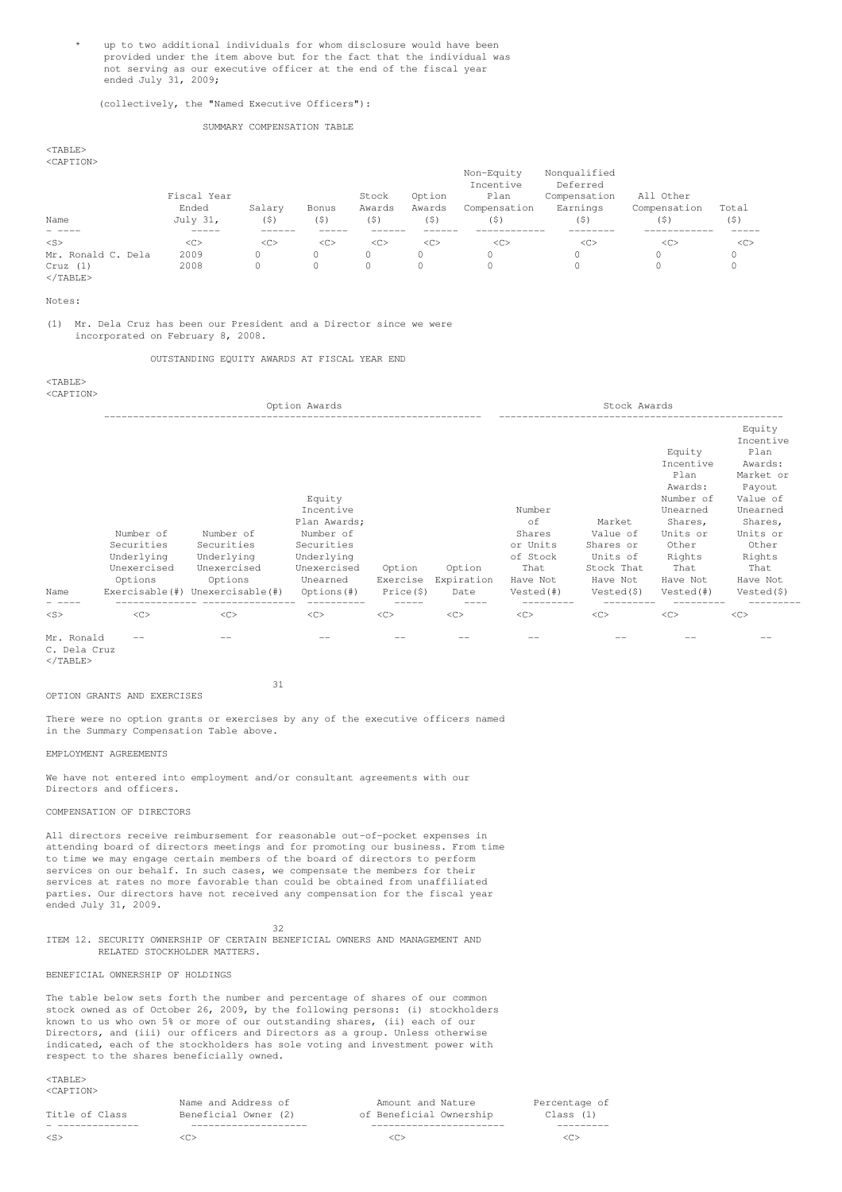up to two additional individuals for whom disclosure would have been provided under the item above but for the fact that the individual was not serving as our executive officer at the end of the fiscal year ended July 31, 2009;

(collectively, the "Named Executive Officers"):

#### SUMMARY COMPENSATION TABLE

#### <TABLE> <CAPTION>

|                        | Fiscal Year |        |        | Stock  | Option | Non-Equity<br>Incentive<br>Plan | Nonqualified<br>Deferred<br>Compensation | All Other    |       |
|------------------------|-------------|--------|--------|--------|--------|---------------------------------|------------------------------------------|--------------|-------|
|                        | Ended       | Salary | Bonus  | Awards | Awards | Compensation                    | Earnings                                 | Compensation | Total |
| Name                   | July 31,    | (S)    | (S)    | (S)    | (S)    | (S)                             | (\$)                                     | (\$)         | (S)   |
|                        |             |        |        |        |        |                                 |                                          |              |       |
| $<$ S>                 | <<          | <<     | <<     | <<     | <<     | <<                              | <<                                       | <<           | <<    |
| Mr. Ronald C. Dela     | 2009        | 0      | 0      |        |        |                                 |                                          |              | 0     |
| Cruz(1)<br>$<$ /TABLE> | 2008        | 0      | $\cap$ |        |        |                                 |                                          |              |       |

Notes:

(1) Mr. Dela Cruz has been our President and a Director since we were incorporated on February 8, 2008.

OUTSTANDING EQUITY AWARDS AT FISCAL YEAR END

<TABLE> <CAPTION>

| ヽぃェェェ ± ± ◡ェャィ  |                                                                                        |                                                                                     | Option Awards                                                                                                          |                                 |                              |                                                                                  | Stock Awards                                                                         |                                                                                                                                             |                                                                                                                                                                  |
|-----------------|----------------------------------------------------------------------------------------|-------------------------------------------------------------------------------------|------------------------------------------------------------------------------------------------------------------------|---------------------------------|------------------------------|----------------------------------------------------------------------------------|--------------------------------------------------------------------------------------|---------------------------------------------------------------------------------------------------------------------------------------------|------------------------------------------------------------------------------------------------------------------------------------------------------------------|
| Name            | Number of<br>Securities<br>Underlying<br>Unexercised<br>Options<br>$Exerciseable$ $#)$ | Number of<br>Securities<br>Underlying<br>Unexercised<br>Options<br>Unexercisable(#) | Equity<br>Incentive<br>Plan Awards;<br>Number of<br>Securities<br>Underlying<br>Unexercised<br>Unearned<br>Options (#) | Option<br>Exercise<br>Price(\$) | Option<br>Expiration<br>Date | Number<br>оf<br>Shares<br>or Units<br>of Stock<br>That<br>Have Not<br>Vested(f)) | Market<br>Value of<br>Shares or<br>Units of<br>Stock That<br>Have Not<br>Vested (\$) | Equity<br>Incentive<br>Plan<br>Awards:<br>Number of<br>Unearned<br>Shares,<br>Units or<br>Other<br>Rights<br>That<br>Have Not<br>Vested(f)) | Equity<br>Incentive<br>Plan<br>Awards:<br>Market or<br>Payout<br>Value of<br>Unearned<br>Shares,<br>Units or<br>Other<br>Rights<br>That<br>Have Not<br>Vested(S) |
| $<$ S $>$       | <<                                                                                     | <<                                                                                  | <<                                                                                                                     | <<                              | <<                           | <<                                                                               | <<                                                                                   | <<                                                                                                                                          | <<                                                                                                                                                               |
| Mr. Ronald<br>. |                                                                                        |                                                                                     |                                                                                                                        |                                 |                              |                                                                                  |                                                                                      |                                                                                                                                             |                                                                                                                                                                  |

C. Dela Cruz

</TABLE>

### 31 OPTION GRANTS AND EXERCISES

There were no option grants or exercises by any of the executive officers named in the Summary Compensation Table above.

### EMPLOYMENT AGREEMENTS

We have not entered into employment and/or consultant agreements with our Directors and officers.

## COMPENSATION OF DIRECTORS

All directors receive reimbursement for reasonable out-of-pocket expenses in attending board of directors meetings and for promoting our business. From time to time we may engage certain members of the board of directors to perform services on our behalf. In such cases, we compensate the members for their services at rates no more favorable than could be obtained from unaffiliated parties. Our directors have not received any compensation for the fiscal year ended July 31, 2009.

32 ITEM 12. SECURITY OWNERSHIP OF CERTAIN BENEFICIAL OWNERS AND MANAGEMENT AND RELATED STOCKHOLDER MATTERS.

# BENEFICIAL OWNERSHIP OF HOLDINGS

The table below sets forth the number and percentage of shares of our common stock owned as of October 26, 2009, by the following persons: (i) stockholders known to us who own 5% or more of our outstanding shares, (ii) each of our Directors, and (iii) our officers and Directors as a group. Unless otherwise indicated, each of the stockholders has sole voting and investment power with respect to the shares beneficially owned.

<TABLE> <CAPTION>

Name and Address of **Amount** and Nature Percentage of Title of Class Beneficial Owner (2) of Beneficial Ownership Class (1) - -------------- -------------------- ----------------------- --------- <S> <C> <C> <C>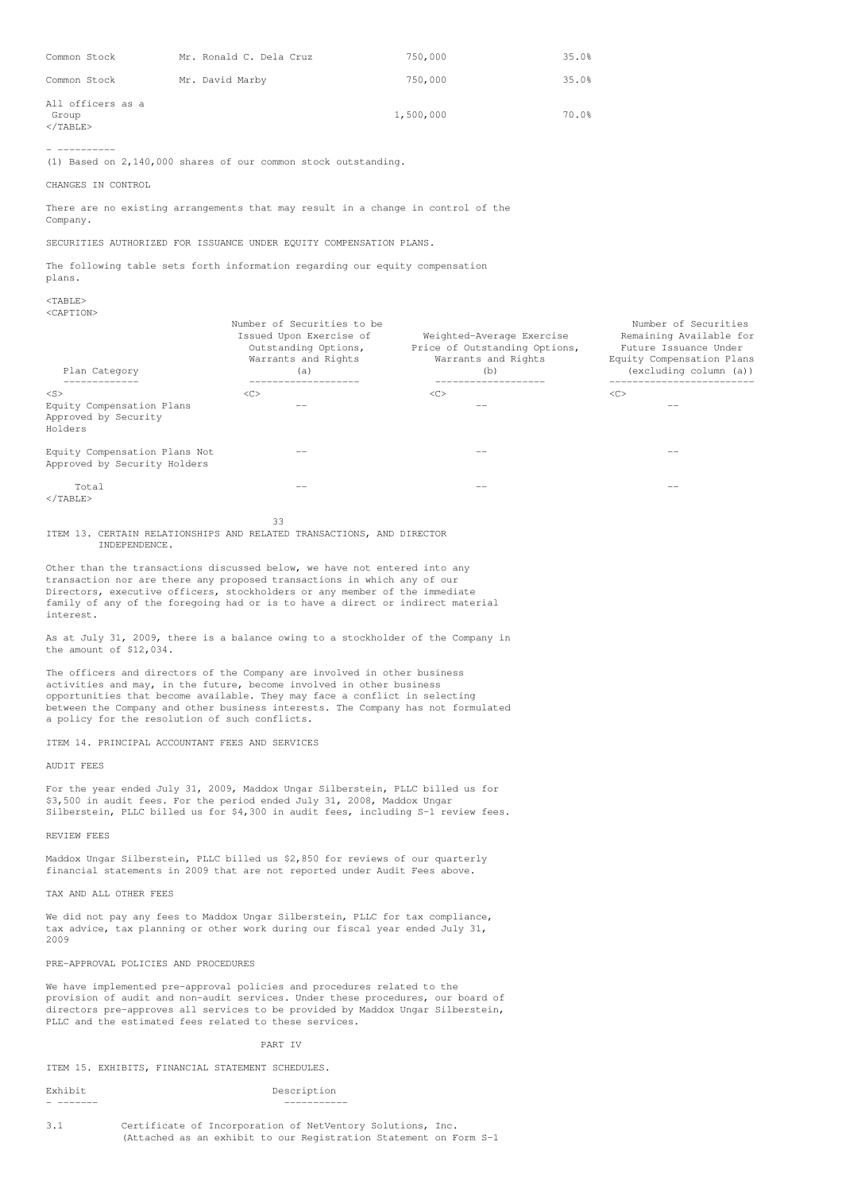| Common Stock                                    | Mr. Ronald C. Dela Cruz | 750,000   | 35.0% |
|-------------------------------------------------|-------------------------|-----------|-------|
| Common Stock                                    | Mr. David Marby         | 750,000   | 35.0% |
| All officers as a<br>Group<br>$\langle$ /TABLE> |                         | 1,500,000 | 70.0% |

- ----------

(1) Based on 2,140,000 shares of our common stock outstanding.

## CHANGES IN CONTROL

There are no existing arrangements that may result in a change in control of the Company.

SECURITIES AUTHORIZED FOR ISSUANCE UNDER EQUITY COMPENSATION PLANS.

The following table sets forth information regarding our equity compensation plans.

<TABLE> <CAPTION>

| Plan Category<br>--------------                                        | Number of Securities to be<br>Issued Upon Exercise of<br>Outstanding Options,<br>Warrants and Rights<br>(a)<br>-------------------- | Weighted-Average Exercise<br>Price of Outstanding Options,<br>Warrants and Rights<br>(b)<br>___________________ | Number of Securities<br>Remaining Available for<br>Future Issuance Under<br>Equity Compensation Plans<br>(excluding column (a))<br>----------------------- |
|------------------------------------------------------------------------|-------------------------------------------------------------------------------------------------------------------------------------|-----------------------------------------------------------------------------------------------------------------|------------------------------------------------------------------------------------------------------------------------------------------------------------|
| $<$ S><br>Equity Compensation Plans<br>Approved by Security<br>Holders | <<                                                                                                                                  | <<<br>--                                                                                                        | <<                                                                                                                                                         |
| Equity Compensation Plans Not<br>Approved by Security Holders          |                                                                                                                                     |                                                                                                                 |                                                                                                                                                            |
| Total<br>$\langle$ /TABLE>                                             |                                                                                                                                     | $- -$                                                                                                           |                                                                                                                                                            |

ITEM 13. CERTAIN RELATIONSHIPS AND RELATED TRANSACTIONS, AND DIRECTOR INDEPENDENCE.

Other than the transactions discussed below, we have not entered into any transaction nor are there any proposed transactions in which any of our Directors, executive officers, stockholders or any member of the immediate family of any of the foregoing had or is to have a direct or indirect material interest.

33

As at July 31, 2009, there is a balance owing to a stockholder of the Company in the amount of \$12,034.

The officers and directors of the Company are involved in other business activities and may, in the future, become involved in other business opportunities that become available. They may face a conflict in selecting between the Company and other business interests. The Company has not formulated a policy for the resolution of such conflicts.

ITEM 14. PRINCIPAL ACCOUNTANT FEES AND SERVICES

AUDIT FEES

For the year ended July 31, 2009, Maddox Ungar Silberstein, PLLC billed us for \$3,500 in audit fees. For the period ended July 31, 2008, Maddox Ungar Silberstein, PLLC billed us for \$4,300 in audit fees, including S-1 review fees.

REVIEW FEES

Maddox Ungar Silberstein, PLLC billed us \$2,850 for reviews of our quarterly financial statements in 2009 that are not reported under Audit Fees above.

### TAX AND ALL OTHER FEES

We did not pay any fees to Maddox Ungar Silberstein, PLLC for tax compliance, tax advice, tax planning or other work during our fiscal year ended July 31, 2009

## PRE-APPROVAL POLICIES AND PROCEDURES

We have implemented pre-approval policies and procedures related to the provision of audit and non-audit services. Under these procedures, our board of directors pre-approves all services to be provided by Maddox Ungar Silberstein, PLLC and the estimated fees related to these services.

## PART IV

ITEM 15. EXHIBITS, FINANCIAL STATEMENT SCHEDULES.

| Exhibit | Description |
|---------|-------------|
|         |             |

3.1 Certificate of Incorporation of NetVentory Solutions, Inc. (Attached as an exhibit to our Registration Statement on Form S-1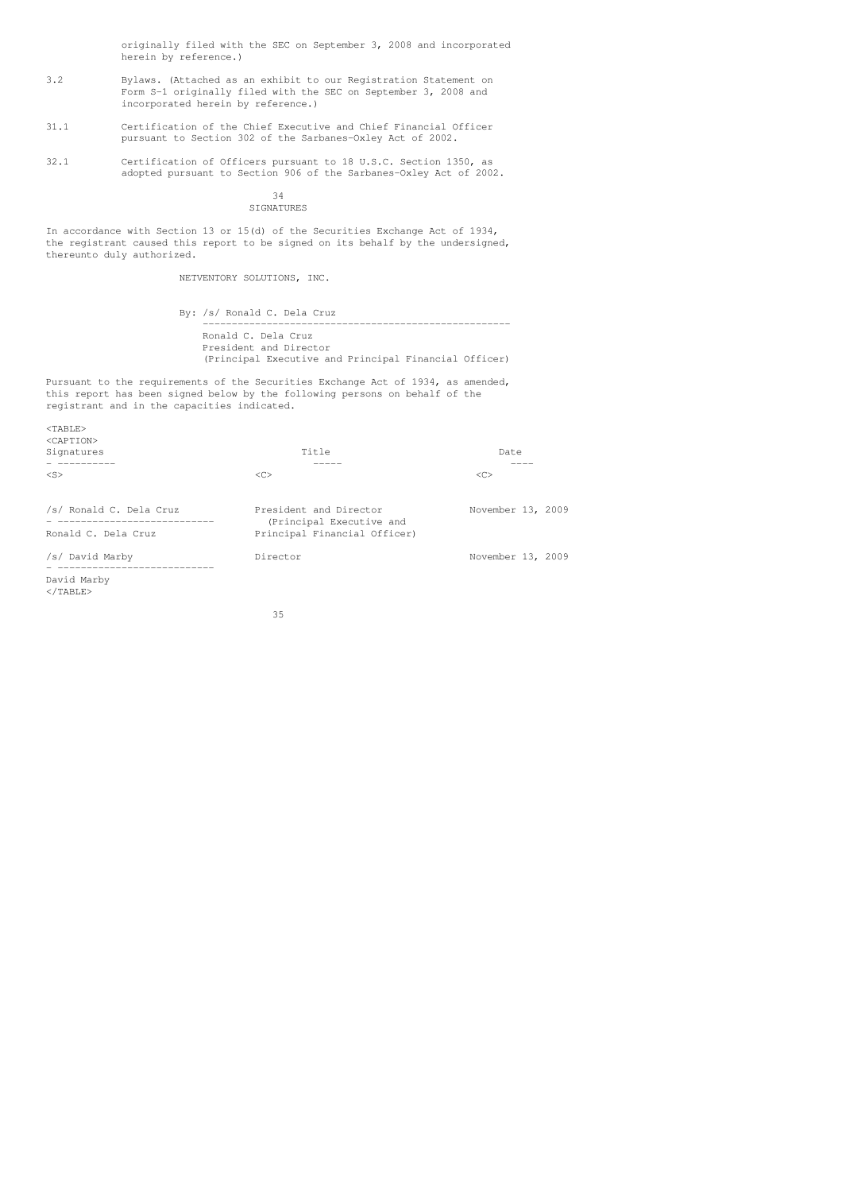originally filed with the SEC on September 3, 2008 and incorporated herein by reference.)

- 3.2 Bylaws. (Attached as an exhibit to our Registration Statement on Form S-1 originally filed with the SEC on September 3, 2008 and incorporated herein by reference.)
- 31.1 Certification of the Chief Executive and Chief Financial Officer pursuant to Section 302 of the Sarbanes-Oxley Act of 2002.
- 32.1 Certification of Officers pursuant to 18 U.S.C. Section 1350, as adopted pursuant to Section 906 of the Sarbanes-Oxley Act of 2002.

34 SIGNATURES

In accordance with Section 13 or 15(d) of the Securities Exchange Act of 1934, the registrant caused this report to be signed on its behalf by the undersigned, thereunto duly authorized.

NETVENTORY SOLUTIONS, INC.

By: /s/ Ronald C. Dela Cruz

----------------------------------------------------- Ronald C. Dela Cruz President and Director (Principal Executive and Principal Financial Officer)

Pursuant to the requirements of the Securities Exchange Act of 1934, as amended, this report has been signed below by the following persons on behalf of the registrant and in the capacities indicated.

| $<$ TABLE $>$<br><caption></caption>                 |                                                    |                   |
|------------------------------------------------------|----------------------------------------------------|-------------------|
| Signatures                                           | Title                                              | Date              |
|                                                      |                                                    |                   |
| $<$ S $>$                                            | <<                                                 | <<                |
| /s/ Ronald C. Dela Cruz<br>------------------------- | President and Director<br>(Principal Executive and | November 13, 2009 |
| Ronald C. Dela Cruz                                  | Principal Financial Officer)                       |                   |
| /s/ David Marby                                      | Director                                           | November 13, 2009 |
| David Marby<br>$<$ /TABLE>                           |                                                    |                   |
|                                                      | 35                                                 |                   |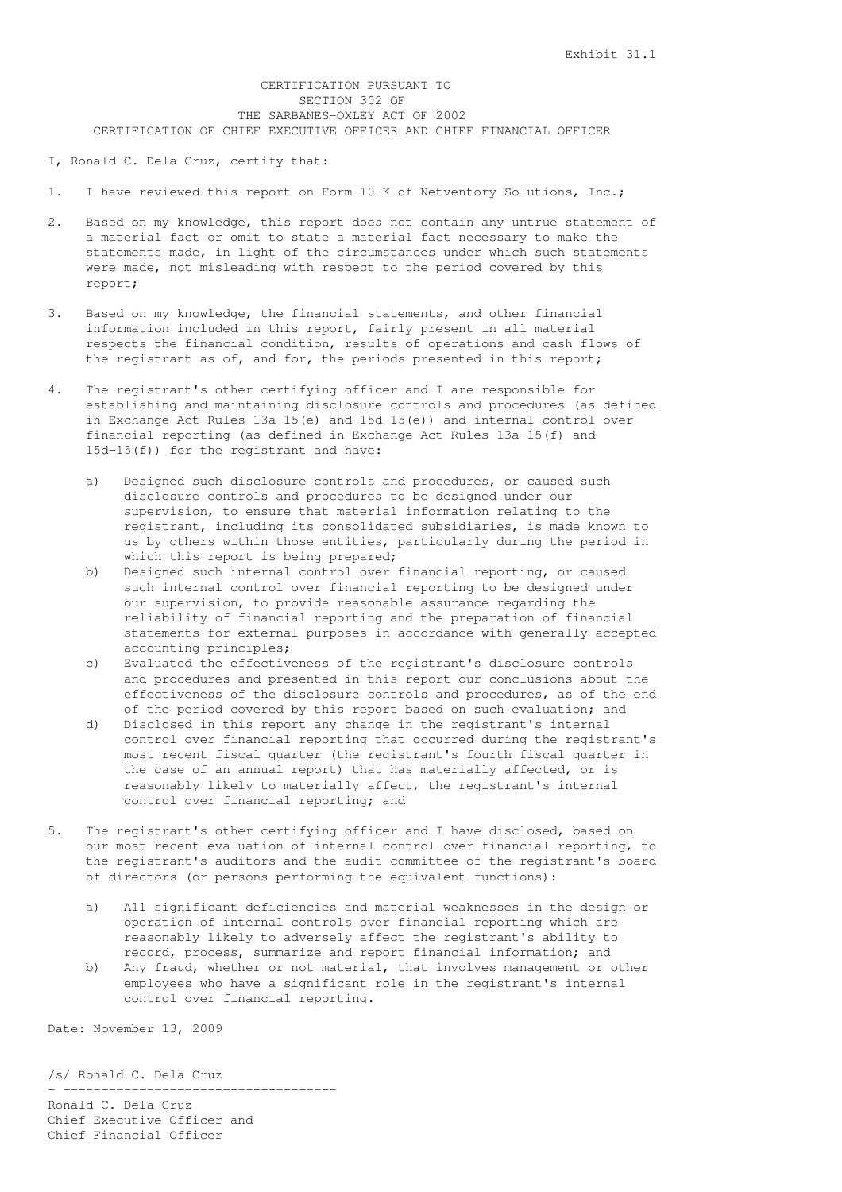# CERTIFICATION PURSUANT TO SECTION 302 OF THE SARBANES-OXLEY ACT OF 2002 CERTIFICATION OF CHIEF EXECUTIVE OFFICER AND CHIEF FINANCIAL OFFICER

# I, Ronald C. Dela Cruz, certify that:

- 1. I have reviewed this report on Form 10-K of Netventory Solutions, Inc.;
- 2. Based on my knowledge, this report does not contain any untrue statement of a material fact or omit to state a material fact necessary to make the statements made, in light of the circumstances under which such statements were made, not misleading with respect to the period covered by this report;
- 3. Based on my knowledge, the financial statements, and other financial information included in this report, fairly present in all material respects the financial condition, results of operations and cash flows of the registrant as of, and for, the periods presented in this report;
- 4. The registrant's other certifying officer and I are responsible for establishing and maintaining disclosure controls and procedures (as defined in Exchange Act Rules 13a-15(e) and 15d-15(e)) and internal control over financial reporting (as defined in Exchange Act Rules 13a-15(f) and 15d-15(f)) for the registrant and have:
	- a) Designed such disclosure controls and procedures, or caused such disclosure controls and procedures to be designed under our supervision, to ensure that material information relating to the registrant, including its consolidated subsidiaries, is made known to us by others within those entities, particularly during the period in which this report is being prepared;
	- b) Designed such internal control over financial reporting, or caused such internal control over financial reporting to be designed under our supervision, to provide reasonable assurance regarding the reliability of financial reporting and the preparation of financial statements for external purposes in accordance with generally accepted accounting principles;
	- c) Evaluated the effectiveness of the registrant's disclosure controls and procedures and presented in this report our conclusions about the effectiveness of the disclosure controls and procedures, as of the end of the period covered by this report based on such evaluation; and
	- d) Disclosed in this report any change in the registrant's internal control over financial reporting that occurred during the registrant's most recent fiscal quarter (the registrant's fourth fiscal quarter in the case of an annual report) that has materially affected, or is reasonably likely to materially affect, the registrant's internal control over financial reporting; and
- 5. The registrant's other certifying officer and I have disclosed, based on our most recent evaluation of internal control over financial reporting, to the registrant's auditors and the audit committee of the registrant's board of directors (or persons performing the equivalent functions):
	- a) All significant deficiencies and material weaknesses in the design or operation of internal controls over financial reporting which are reasonably likely to adversely affect the registrant's ability to record, process, summarize and report financial information; and
	- b) Any fraud, whether or not material, that involves management or other employees who have a significant role in the registrant's internal control over financial reporting.

Date: November 13, 2009

/s/ Ronald C. Dela Cruz

- ------------------------------------ Ronald C. Dela Cruz Chief Executive Officer and Chief Financial Officer